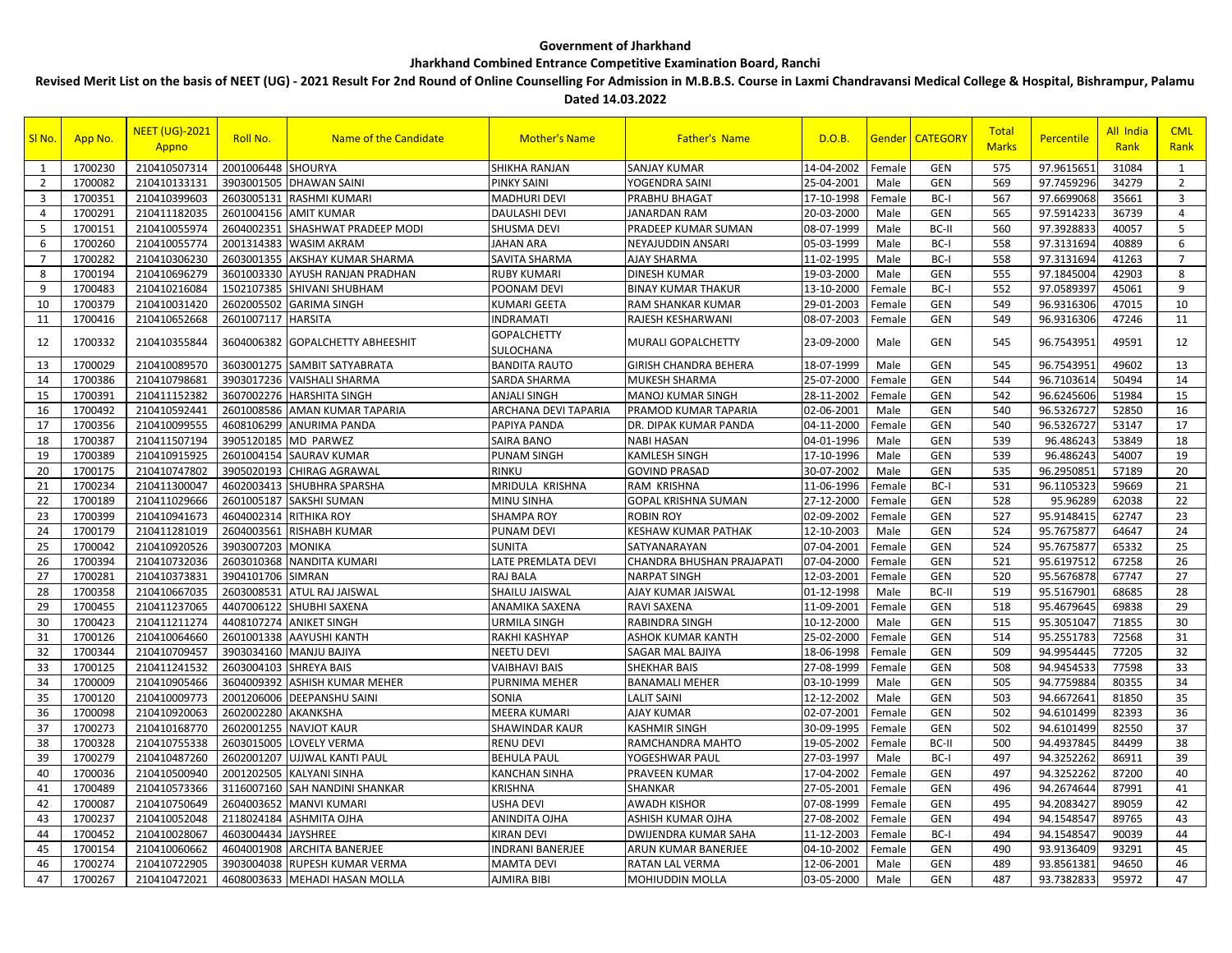## **Government of Jharkhand**

## **Jharkhand Combined Entrance Competitive Examination Board, Ranchi**

**Revised Merit List on the basis of NEET (UG) - 2021 Result For 2nd Round of Online Counselling For Admission in M.B.B.S. Course in Laxmi Chandravansi Medical College & Hospital, Bishrampur, Palamu Dated 14.03.2022**

| SI <sub>No.</sub> | App No. | <b>NEET (UG)-2021</b><br>Appno | Roll No.               | Name of the Candidate            | <b>Mother's Name</b>            | <b>Father's Name</b>        | D.O.B.     | Gender | <b>CATEGORY</b> | Total<br><b>Marks</b> | <b>Percentile</b> | <b>All India</b><br>Rank | <b>CML</b><br>Rank |
|-------------------|---------|--------------------------------|------------------------|----------------------------------|---------------------------------|-----------------------------|------------|--------|-----------------|-----------------------|-------------------|--------------------------|--------------------|
| 1                 | 1700230 | 210410507314                   | 2001006448 SHOURYA     |                                  | SHIKHA RANJAN                   | <b>SANJAY KUMAR</b>         | 14-04-2002 | Female | <b>GEN</b>      | 575                   | 97.961565         | 31084                    | 1                  |
| $\overline{2}$    | 1700082 | 210410133131                   |                        | 3903001505 DHAWAN SAINI          | PINKY SAINI                     | YOGENDRA SAINI              | 25-04-2001 | Male   | <b>GEN</b>      | 569                   | 97.745929         | 34279                    | $\overline{2}$     |
| $\overline{3}$    | 1700351 | 210410399603                   |                        | 2603005131 RASHMI KUMARI         | <b>MADHURI DEVI</b>             | PRABHU BHAGAT               | 17-10-1998 | Female | BC-I            | 567                   | 97.6699068        | 35661                    | 3                  |
| $\overline{4}$    | 1700291 | 210411182035                   |                        | 2601004156 AMIT KUMAR            | <b>DAULASHI DEVI</b>            | <b>JANARDAN RAM</b>         | 20-03-2000 | Male   | <b>GEN</b>      | 565                   | 97.591423         | 36739                    | $\overline{4}$     |
| 5                 | 1700151 | 210410055974                   |                        | 2604002351 SHASHWAT PRADEEP MODI | SHUSMA DEVI                     | PRADEEP KUMAR SUMAN         | 08-07-1999 | Male   | BC-II           | 560                   | 97.3928833        | 40057                    | 5                  |
| 6                 | 1700260 | 210410055774                   |                        | 2001314383 WASIM AKRAM           | <b>JAHAN ARA</b>                | NEYAJUDDIN ANSARI           | 05-03-1999 | Male   | BC-I            | 558                   | 97.3131694        | 40889                    | 6                  |
| $\overline{7}$    | 1700282 | 210410306230                   |                        | 2603001355 AKSHAY KUMAR SHARMA   | SAVITA SHARMA                   | AJAY SHARMA                 | 11-02-1995 | Male   | BC-I            | 558                   | 97.3131694        | 41263                    | $\overline{7}$     |
| 8                 | 1700194 | 210410696279                   |                        | 3601003330 AYUSH RANJAN PRADHAN  | <b>RUBY KUMARI</b>              | DINESH KUMAR                | 19-03-2000 | Male   | <b>GEN</b>      | 555                   | 97.1845004        | 42903                    | 8                  |
| 9                 | 1700483 | 210410216084                   |                        | 1502107385 SHIVANI SHUBHAM       | POONAM DEVI                     | <b>BINAY KUMAR THAKUR</b>   | 13-10-2000 | Female | BC-I            | 552                   | 97.0589397        | 45061                    | 9                  |
| 10                | 1700379 | 210410031420                   |                        | 2602005502 GARIMA SINGH          | <b>KUMARI GEETA</b>             | RAM SHANKAR KUMAR           | 29-01-2003 | Female | <b>GEN</b>      | 549                   | 96.9316306        | 47015                    | 10                 |
| 11                | 1700416 | 210410652668                   | 2601007117 HARSITA     |                                  | <b>INDRAMATI</b>                | RAJESH KESHARWANI           | 08-07-2003 | Female | <b>GEN</b>      | 549                   | 96.9316306        | 47246                    | 11                 |
| 12                | 1700332 | 210410355844                   | 3604006382             | <b>GOPALCHETTY ABHEESHIT</b>     | <b>GOPALCHETTY</b><br>SULOCHANA | <b>MURALI GOPALCHETTY</b>   | 23-09-2000 | Male   | <b>GEN</b>      | 545                   | 96.7543951        | 49591                    | 12                 |
| 13                | 1700029 | 210410089570                   | 3603001275             | <b>SAMBIT SATYABRATA</b>         | <b>BANDITA RAUTO</b>            | GIRISH CHANDRA BEHERA       | 18-07-1999 | Male   | <b>GEN</b>      | 545                   | 96.754395         | 49602                    | 13                 |
| 14                | 1700386 | 210410798681                   |                        | 3903017236 VAISHALI SHARMA       | SARDA SHARMA                    | <b>MUKESH SHARMA</b>        | 25-07-2000 | Female | <b>GEN</b>      | 544                   | 96.7103614        | 50494                    | 14                 |
| 15                | 1700391 | 210411152382                   |                        | 3607002276 HARSHITA SINGH        | <b>ANJALI SINGH</b>             | <b>MANOJ KUMAR SINGH</b>    | 28-11-2002 | Female | <b>GEN</b>      | 542                   | 96.6245606        | 51984                    | 15                 |
| 16                | 1700492 | 210410592441                   |                        | 2601008586 AMAN KUMAR TAPARIA    | <b>ARCHANA DEVI TAPARIA</b>     | PRAMOD KUMAR TAPARIA        | 02-06-2001 | Male   | <b>GEN</b>      | 540                   | 96.5326727        | 52850                    | 16                 |
| 17                | 1700356 | 210410099555                   | 4608106299             | <b>ANURIMA PANDA</b>             | PAPIYA PANDA                    | DR. DIPAK KUMAR PANDA       | 04-11-2000 | Female | <b>GEN</b>      | 540                   | 96.5326727        | 53147                    | 17                 |
| 18                | 1700387 | 210411507194                   | 3905120185             | <b>MD PARWEZ</b>                 | <b>SAIRA BANO</b>               | <b>NABI HASAN</b>           | 04-01-1996 | Male   | <b>GEN</b>      | 539                   | 96.486243         | 53849                    | 18                 |
| 19                | 1700389 | 210410915925                   |                        | 2601004154 SAURAV KUMAR          | <b>PUNAM SINGH</b>              | KAMLESH SINGH               | 17-10-1996 | Male   | <b>GEN</b>      | 539                   | 96.486243         | 54007                    | 19                 |
| 20                | 1700175 | 210410747802                   | 3905020193             | <b>CHIRAG AGRAWAL</b>            | <b>RINKU</b>                    | <b>GOVIND PRASAD</b>        | 30-07-2002 | Male   | <b>GEN</b>      | 535                   | 96.295085         | 57189                    | 20                 |
| 21                | 1700234 | 210411300047                   |                        | 4602003413 SHUBHRA SPARSHA       | MRIDULA KRISHNA                 | RAM KRISHNA                 | 11-06-1996 | Female | BC-I            | 531                   | 96.1105323        | 59669                    | 21                 |
| 22                | 1700189 | 210411029666                   |                        | 2601005187 SAKSHI SUMAN          | <b>MINU SINHA</b>               | <b>GOPAL KRISHNA SUMAN</b>  | 27-12-2000 | Female | <b>GEN</b>      | 528                   | 95.96289          | 62038                    | 22                 |
| 23                | 1700399 | 210410941673                   | 4604002314 RITHIKA ROY |                                  | <b>SHAMPA ROY</b>               | <b>ROBIN ROY</b>            | 02-09-2002 | Female | <b>GEN</b>      | 527                   | 95.9148415        | 62747                    | 23                 |
| 24                | 1700179 | 210411281019                   |                        | 2604003561 RISHABH KUMAR         | <b>PUNAM DEVI</b>               | KESHAW KUMAR PATHAK         | 12-10-2003 | Male   | <b>GEN</b>      | 524                   | 95.7675877        | 64647                    | 24                 |
| 25                | 1700042 | 210410920526                   | 3903007203 MONIKA      |                                  | <b>SUNITA</b>                   | SATYANARAYAN                | 07-04-2001 | Female | <b>GEN</b>      | 524                   | 95.7675877        | 65332                    | 25                 |
| 26                | 1700394 | 210410732036                   |                        | 2603010368 NANDITA KUMARI        | LATE PREMLATA DEVI              | CHANDRA BHUSHAN PRAJAPATI   | 07-04-2000 | Female | <b>GEN</b>      | 521                   | 95.6197512        | 67258                    | 26                 |
| 27                | 1700281 | 210410373831                   | 3904101706             | <b>SIMRAN</b>                    | RAJ BALA                        | <b>NARPAT SINGH</b>         | 12-03-2001 | Female | <b>GEN</b>      | 520                   | 95.5676878        | 67747                    | 27                 |
| 28                | 1700358 | 210410667035                   |                        | 2603008531 ATUL RAJ JAISWAL      | SHAILU JAISWAL                  | AJAY KUMAR JAISWAL          | 01-12-1998 | Male   | BC-II           | 519                   | 95.5167901        | 68685                    | 28                 |
| 29                | 1700455 | 210411237065                   |                        | 4407006122 SHUBHI SAXENA         | ANAMIKA SAXENA                  | RAVI SAXENA                 | 11-09-2001 | Female | <b>GEN</b>      | 518                   | 95.4679645        | 69838                    | 29                 |
| 30                | 1700423 | 210411211274                   |                        | 4408107274 ANIKET SINGH          | <b>URMILA SINGH</b>             | RABINDRA SINGH              | 10-12-2000 | Male   | <b>GEN</b>      | 515                   | 95.3051047        | 71855                    | 30                 |
| 31                | 1700126 | 210410064660                   | 2601001338             | <b>AAYUSHI KANTH</b>             | RAKHI KASHYAP                   | ASHOK KUMAR KANTH           | 25-02-2000 | Female | <b>GEN</b>      | 514                   | 95.255178         | 72568                    | 31                 |
| 32                | 1700344 | 210410709457                   |                        | 3903034160 MANJU BAJIYA          | <b>NEETU DEVI</b>               | <b>SAGAR MAL BAJIYA</b>     | 18-06-1998 | Female | <b>GEN</b>      | 509                   | 94.995444         | 77205                    | 32                 |
| 33                | 1700125 | 210411241532                   | 2603004103             | <b>SHREYA BAIS</b>               | <b>VAIBHAVI BAIS</b>            | SHEKHAR BAIS                | 27-08-1999 | Female | <b>GEN</b>      | 508                   | 94.9454533        | 77598                    | 33                 |
| 34                | 1700009 | 210410905466                   |                        | 3604009392 ASHISH KUMAR MEHER    | PURNIMA MEHER                   | <b>BANAMALI MEHER</b>       | 03-10-1999 | Male   | <b>GEN</b>      | 505                   | 94.7759884        | 80355                    | 34                 |
| 35                | 1700120 | 210410009773                   | 2001206006             | <b>DEEPANSHU SAINI</b>           | SONIA                           | <b>LALIT SAINI</b>          | 12-12-2002 | Male   | <b>GEN</b>      | 503                   | 94.6672643        | 81850                    | 35                 |
| 36                | 1700098 | 210410920063                   | 2602002280 AKANKSHA    |                                  | <b>MEERA KUMARI</b>             | <b>AJAY KUMAR</b>           | 02-07-2001 | Female | <b>GEN</b>      | 502                   | 94.6101499        | 82393                    | 36                 |
| 37                | 1700273 | 210410168770                   |                        | 2602001255 NAVJOT KAUR           | SHAWINDAR KAUR                  | KASHMIR SINGH               | 30-09-1995 | Female | <b>GEN</b>      | 502                   | 94.6101499        | 82550                    | 37                 |
| 38                | 1700328 | 210410755338                   |                        | 2603015005 LOVELY VERMA          | <b>RENU DEVI</b>                | RAMCHANDRA MAHTO            | 19-05-2002 | Female | BC-II           | 500                   | 94.4937845        | 84499                    | 38                 |
| 39                | 1700279 | 210410487260                   |                        | 2602001207 UJJWAL KANTI PAUL     | <b>BEHULA PAUL</b>              | YOGESHWAR PAUL              | 27-03-1997 | Male   | BC-I            | 497                   | 94.3252262        | 86911                    | 39                 |
| 40                | 1700036 | 210410500940                   |                        | 2001202505 KALYANI SINHA         | <b>KANCHAN SINHA</b>            | PRAVEEN KUMAR               | 17-04-2002 | Female | <b>GEN</b>      | 497                   | 94.3252262        | 87200                    | 40                 |
| 41                | 1700489 | 210410573366                   |                        | 3116007160 SAH NANDINI SHANKAR   | <b>KRISHNA</b>                  | SHANKAR                     | 27-05-2001 | Female | <b>GEN</b>      | 496                   | 94.2674644        | 87991                    | 41                 |
| 42                | 1700087 | 210410750649                   |                        | 2604003652 MANVI KUMARI          | <b>USHA DEVI</b>                | <b>AWADH KISHOR</b>         | 07-08-1999 | Female | <b>GEN</b>      | 495                   | 94.2083427        | 89059                    | 42                 |
| 43                | 1700237 | 210410052048                   | 2118024184             | <b>ASHMITA OJHA</b>              | ANINDITA OJHA                   | ASHISH KUMAR OJHA           | 27-08-2002 | Female | <b>GEN</b>      | 494                   | 94.1548547        | 89765                    | 43                 |
| 44                | 1700452 | 210410028067                   | 4603004434 JAYSHREE    |                                  | <b>KIRAN DEVI</b>               | <b>DWIJENDRA KUMAR SAHA</b> | 11-12-2003 | Female | BC-I            | 494                   | 94.1548547        | 90039                    | 44                 |
| 45                | 1700154 | 210410060662                   | 4604001908             | <b>ARCHITA BANERJEE</b>          | <b>INDRANI BANERJEE</b>         | ARUN KUMAR BANERJEE         | 04-10-2002 | Female | <b>GEN</b>      | 490                   | 93.9136409        | 93291                    | 45                 |
| 46                | 1700274 | 210410722905                   | 3903004038             | <b>RUPESH KUMAR VERMA</b>        | <b>MAMTA DEVI</b>               | RATAN LAL VERMA             | 12-06-2001 | Male   | <b>GEN</b>      | 489                   | 93.8561381        | 94650                    | 46                 |
| 47                | 1700267 | 210410472021                   |                        | 4608003633 MEHADI HASAN MOLLA    | <b>AJMIRA BIBI</b>              | MOHIUDDIN MOLLA             | 03-05-2000 | Male   | <b>GEN</b>      | 487                   | 93.7382833        | 95972                    | 47                 |
|                   |         |                                |                        |                                  |                                 |                             |            |        |                 |                       |                   |                          |                    |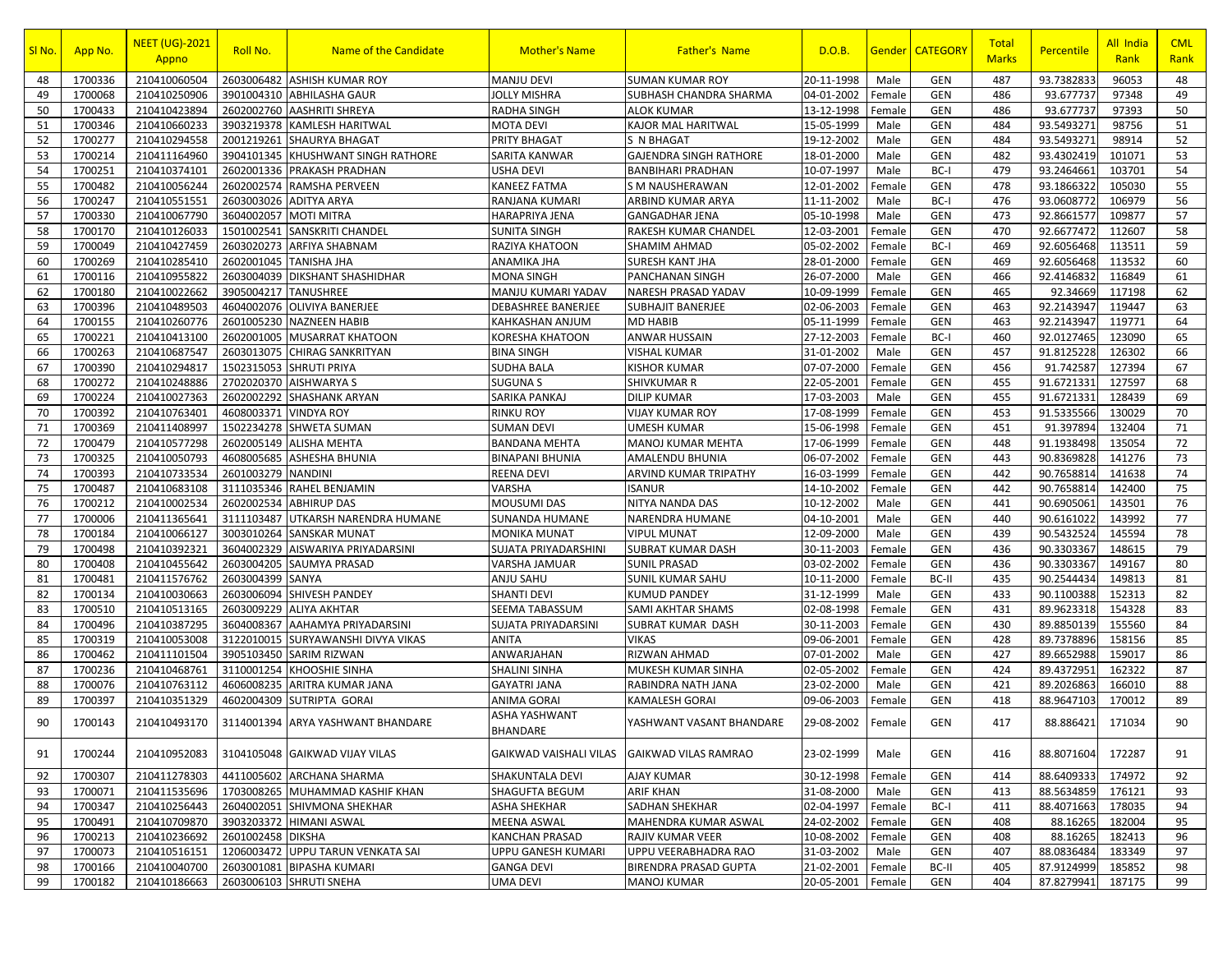| SI <sub>No.</sub> | App No. | <b>NEET (UG)-2021</b><br>Appno | Roll No.             | Name of the Candidate                          | <b>Mother's Name</b>                    | <b>Father's Name</b>          | D.O.B.            | Gender | <b>CATEGORY</b> | Total<br><b>Marks</b> | Percentile | All India<br>Rank | <b>CML</b><br>Rank |
|-------------------|---------|--------------------------------|----------------------|------------------------------------------------|-----------------------------------------|-------------------------------|-------------------|--------|-----------------|-----------------------|------------|-------------------|--------------------|
| 48                | 1700336 | 210410060504                   | 2603006482           | <b>ASHISH KUMAR ROY</b>                        | <b>MANJU DEVI</b>                       | <b>SUMAN KUMAR ROY</b>        | 20-11-1998        | Male   | <b>GEN</b>      | 487                   | 93.7382833 | 96053             | 48                 |
| 49                | 1700068 | 210410250906                   |                      | 3901004310 ABHILASHA GAUR                      | <b>JOLLY MISHRA</b>                     | SUBHASH CHANDRA SHARMA        | 04-01-2002        | Female | <b>GEN</b>      | 486                   | 93.677737  | 97348             | 49                 |
| 50                | 1700433 | 210410423894                   |                      | 2602002760 AASHRITI SHREYA                     | <b>RADHA SINGH</b>                      | <b>ALOK KUMAR</b>             | 13-12-1998        | Female | <b>GEN</b>      | 486                   | 93.677737  | 97393             | 50                 |
| 51                | 1700346 | 210410660233                   |                      | 3903219378 KAMLESH HARITWAL                    | <b>MOTA DEVI</b>                        | KAJOR MAL HARITWAL            | 15-05-1999        | Male   | <b>GEN</b>      | 484                   | 93.5493271 | 98756             | 51                 |
| 52                | 1700277 | 210410294558                   |                      | 2001219261 SHAURYA BHAGAT                      | PRITY BHAGAT                            | S N BHAGAT                    | 19-12-2002        | Male   | <b>GEN</b>      | 484                   | 93.5493271 | 98914             | 52                 |
| 53                | 1700214 | 210411164960                   |                      | 3904101345 KHUSHWANT SINGH RATHORE             | SARITA KANWAR                           | <b>GAJENDRA SINGH RATHORE</b> | 18-01-2000        | Male   | <b>GEN</b>      | 482                   | 93.4302419 | 101071            | 53                 |
| 54                | 1700251 | 210410374101                   |                      | 2602001336 PRAKASH PRADHAN                     | <b>USHA DEVI</b>                        | <b>BANBIHARI PRADHAN</b>      | 10-07-1997        | Male   | BC-I            | 479                   | 93.2464661 | 103701            | 54                 |
| 55                | 1700482 | 210410056244                   |                      | 2602002574 RAMSHA PERVEEN                      | <b>KANEEZ FATMA</b>                     | <b>S M NAUSHERAWAN</b>        | 12-01-2002        | Female | <b>GEN</b>      | 478                   | 93.1866322 | 105030            | 55                 |
| 56                | 1700247 | 210410551551                   |                      | 2603003026 ADITYA ARYA                         | RANJANA KUMARI                          | ARBIND KUMAR ARYA             | 11-11-2002        | Male   | BC-I            | 476                   | 93.0608772 | 106979            | 56                 |
| 57                | 1700330 | 210410067790                   |                      | 3604002057 MOTI MITRA                          | <b>HARAPRIYA JENA</b>                   | <b>GANGADHAR JENA</b>         | 05-10-1998        | Male   | <b>GEN</b>      | 473                   | 92.8661577 | 109877            | 57                 |
| 58                | 1700170 | 210410126033                   |                      | 1501002541 SANSKRITI CHANDEL                   | <b>SUNITA SINGH</b>                     | RAKESH KUMAR CHANDEL          | 12-03-2001        | Female | <b>GEN</b>      | 470                   | 92.6677472 | 112607            | 58                 |
| 59                | 1700049 | 210410427459                   | 2603020273           | <b>ARFIYA SHABNAM</b>                          | <b>RAZIYA KHATOON</b>                   | SHAMIM AHMAD                  | 05-02-2002        | Female | BC-I            | 469                   | 92.6056468 | 113511            | 59                 |
| 60                | 1700269 | 210410285410                   |                      | 2602001045 TANISHA JHA                         | ANAMIKA JHA                             | <b>SURESH KANT JHA</b>        | 28-01-2000        | Female | <b>GEN</b>      | 469                   | 92.6056468 | 113532            | 60                 |
| 61                | 1700116 | 210410955822                   |                      | 2603004039 DIKSHANT SHASHIDHAR                 | <b>MONA SINGH</b>                       | <b>PANCHANAN SINGH</b>        | 26-07-2000        | Male   | <b>GEN</b>      | 466                   | 92.4146832 | 116849            | 61                 |
| 62                | 1700180 | 210410022662                   | 3905004217 TANUSHREE |                                                | MANJU KUMARI YADAV                      | NARESH PRASAD YADAV           | 10-09-1999        | Female | <b>GEN</b>      | 465                   | 92.34669   | 117198            | 62                 |
| 63                | 1700396 | 210410489503                   |                      | 4604002076 OLIVIYA BANERJEE                    | <b>DEBASHREE BANERJEE</b>               | <b>SUBHAJIT BANERJEE</b>      | 02-06-2003        | Female | <b>GEN</b>      | 463                   | 92.2143947 | 119447            | 63                 |
| 64                | 1700155 | 210410260776                   |                      | 2601005230 NAZNEEN HABIB                       | KAHKASHAN ANJUM                         | MD HABIB                      | 05-11-1999        | Female | <b>GEN</b>      | 463                   | 92.2143947 | 119771            | 64                 |
| 65                | 1700221 | 210410413100                   |                      | 2602001005 MUSARRAT KHATOON                    | KORESHA KHATOON                         | ANWAR HUSSAIN                 | 27-12-2003        | Female | BC-I            | 460                   | 92.0127465 | 123090            | 65                 |
| 66                | 1700263 | 210410687547                   |                      | 2603013075 CHIRAG SANKRITYAN                   | <b>BINA SINGH</b>                       | <b>VISHAL KUMAR</b>           | 31-01-2002        | Male   | <b>GEN</b>      | 457                   | 91.8125228 | 126302            | 66                 |
| 67                | 1700390 | 210410294817                   | 1502315053           | <b>SHRUTI PRIYA</b>                            | <b>SUDHA BALA</b>                       | KISHOR KUMAR                  | 07-07-2000        | Female | <b>GEN</b>      | 456                   | 91.742587  | 127394            | 67                 |
| 68                | 1700272 | 210410248886                   |                      | 2702020370 AISHWARYA S                         | <b>SUGUNA S</b>                         | SHIVKUMAR R                   | 22-05-2001        | Female | <b>GEN</b>      | 455                   | 91.6721331 | 127597            | 68                 |
| 69                | 1700224 | 210410027363                   |                      | 2602002292 SHASHANK ARYAN                      | SARIKA PANKAJ                           | <b>DILIP KUMAR</b>            | 17-03-2003        | Male   | <b>GEN</b>      | 455                   | 91.6721331 | 128439            | 69                 |
| 70                | 1700392 | 210410763401                   | 4608003371           | <b>VINDYA ROY</b>                              | <b>RINKU ROY</b>                        | <b>VIJAY KUMAR ROY</b>        | 17-08-1999        | Female | <b>GEN</b>      | 453                   | 91.5335566 | 130029            | 70                 |
| 71                | 1700369 | 210411408997                   |                      | 1502234278 SHWETA SUMAN                        | <b>SUMAN DEVI</b>                       | <b>UMESH KUMAR</b>            | 15-06-1998        | Female | <b>GEN</b>      | 451                   | 91.397894  | 132404            | 71                 |
| 72                | 1700479 | 210410577298                   | 2602005149           | <b>ALISHA MEHTA</b>                            | <b>BANDANA MEHTA</b>                    | MANOJ KUMAR MEHTA             | 17-06-1999        | Female | <b>GEN</b>      | 448                   | 91.1938498 | 135054            | 72                 |
| 73                | 1700325 | 210410050793                   | 4608005685           | <b>ASHESHA BHUNIA</b>                          | <b>BINAPANI BHUNIA</b>                  | AMALENDU BHUNIA               | 06-07-2002        | Female | <b>GEN</b>      | 443                   | 90.8369828 | 141276            | 73                 |
| 74                | 1700393 | 210410733534                   | 2601003279           | <b>NANDINI</b>                                 | <b>REENA DEVI</b>                       | ARVIND KUMAR TRIPATHY         | 16-03-1999        | Female | <b>GEN</b>      | 442                   | 90.7658814 | 141638            | 74                 |
| 75                | 1700487 | 210410683108                   |                      | 3111035346 RAHEL BENJAMIN                      | <b>VARSHA</b>                           | <b>ISANUR</b>                 | 14-10-2002        | Female | <b>GEN</b>      | 442                   | 90.7658814 | 142400            | 75                 |
| 76                | 1700212 | 210410002534                   |                      | 2602002534 ABHIRUP DAS                         | <b>MOUSUMI DAS</b>                      | NITYA NANDA DAS               | 10-12-2002        | Male   | <b>GEN</b>      | 441                   | 90.6905061 | 143501            | 76                 |
| 77                | 1700006 | 210411365641                   |                      | 3111103487 UTKARSH NARENDRA HUMANE             | <b>SUNANDA HUMANE</b>                   | NARENDRA HUMANE               | 04-10-2001        | Male   | <b>GEN</b>      | 440                   | 90.6161022 | 143992            | 77                 |
| 78                | 1700184 | 210410066127                   |                      | 3003010264 SANSKAR MUNAT                       | <b>MONIKA MUNAT</b>                     | VIPUL MUNAT                   | 12-09-2000        | Male   | <b>GEN</b>      | 439                   | 90.5432524 | 145594            | 78                 |
| 79                | 1700498 | 210410392321                   |                      | 3604002329 AISWARIYA PRIYADARSINI              | <b>SUJATA PRIYADARSHINI</b>             | SUBRAT KUMAR DASH             | 30-11-2003        | Female | <b>GEN</b>      | 436                   | 90.3303367 | 148615            | 79                 |
| 80                | 1700408 | 210410455642                   | 2603004205           | <b>SAUMYA PRASAD</b>                           | VARSHA JAMUAR                           | <b>SUNIL PRASAD</b>           | 03-02-2002        | Female | <b>GEN</b>      | 436                   | 90.3303367 | 149167            | 80                 |
| 81                | 1700481 | 210411576762                   | 2603004399 SANYA     |                                                | ANJU SAHU                               | SUNIL KUMAR SAHU              | 10-11-2000        | Female | BC-II           | 435                   | 90.2544434 | 149813            | 81                 |
| 82                | 1700134 | 210410030663                   |                      | 2603006094 SHIVESH PANDEY                      | <b>SHANTI DEVI</b>                      | <b>KUMUD PANDEY</b>           | 31-12-1999        | Male   | <b>GEN</b>      | 433                   | 90.1100388 | 152313            | 82                 |
| 83                | 1700510 | 210410513165                   |                      | 2603009229 ALIYA AKHTAR                        | SEEMA TABASSUM                          | SAMI AKHTAR SHAMS             | 02-08-1998        | Female | <b>GEN</b>      | 431                   | 89.9623318 | 154328            | 83                 |
| 84                | 1700496 | 210410387295                   |                      | 3604008367 AAHAMYA PRIYADARSINI                | SUJATA PRIYADARSINI                     | SUBRAT KUMAR DASH             | 30-11-2003        | Female | <b>GEN</b>      | 430                   | 89.8850139 | 155560            | 84                 |
| 85                | 1700319 | 210410053008                   |                      | 3122010015 SURYAWANSHI DIVYA VIKAS             | <b>ANITA</b>                            | <b>VIKAS</b>                  | 09-06-2001        | Female | <b>GEN</b>      | 428                   | 89.7378896 | 158156            | 85                 |
| 86                | 1700462 | 210411101504                   |                      | 3905103450 SARIM RIZWAN                        | ANWARJAHAN                              | RIZWAN AHMAD                  | 07-01-2002        | Male   | <b>GEN</b>      | 427                   | 89.6652988 | 159017            | 86                 |
| 87                | 1700236 | 210410468761                   |                      | 3110001254 KHOOSHIE SINHA                      | <b>SHALINI SINHA</b>                    | MUKESH KUMAR SINHA            | 02-05-2002        | Female | <b>GEN</b>      | 424                   | 89.4372951 | 162322            | 87                 |
| 88                | 1700076 | 210410763112                   | 4606008235           | <b>ARITRA KUMAR JANA</b>                       | <b>GAYATRI JANA</b>                     | RABINDRA NATH JANA            | 23-02-2000        | Male   | <b>GEN</b>      | 421                   | 89.2026863 | 166010            | 88                 |
| 89                | 1700397 | 210410351329                   |                      | 4602004309 SUTRIPTA GORAL                      | <b>ANIMA GORAI</b>                      | <b>KAMALESH GORAI</b>         | 09-06-2003        | Female | <b>GEN</b>      | 418                   | 88.9647103 | 170012            | 89                 |
| 90                | 1700143 |                                |                      | 210410493170 3114001394 ARYA YASHWANT BHANDARE | <b>ASHA YASHWANT</b><br><b>BHANDARE</b> | YASHWANT VASANT BHANDARE      | 29-08-2002 Female |        | <b>GEN</b>      | 417                   | 88.886421  | 171034            | 90                 |
| 91                | 1700244 | 210410952083                   |                      | 3104105048 GAIKWAD VIJAY VILAS                 | <b>GAIKWAD VAISHALI VILAS</b>           | <b>GAIKWAD VILAS RAMRAO</b>   | 23-02-1999        | Male   | <b>GEN</b>      | 416                   | 88.8071604 | 172287            | 91                 |
| 92                | 1700307 | 210411278303                   |                      | 4411005602 ARCHANA SHARMA                      | <b>SHAKUNTALA DEVI</b>                  | <b>AJAY KUMAR</b>             | 30-12-1998        | Female | <b>GEN</b>      | 414                   | 88.6409333 | 174972            | 92                 |
| 93                | 1700071 | 210411535696                   |                      | 1703008265 MUHAMMAD KASHIF KHAN                | <b>SHAGUFTA BEGUM</b>                   | <b>ARIF KHAN</b>              | 31-08-2000        | Male   | <b>GEN</b>      | 413                   | 88.5634859 | 176121            | 93                 |
| 94                | 1700347 | 210410256443                   |                      | 2604002051 SHIVMONA SHEKHAR                    | <b>ASHA SHEKHAR</b>                     | <b>SADHAN SHEKHAR</b>         | 02-04-1997        | Female | BC-I            | 411                   | 88.4071663 | 178035            | 94                 |
| 95                | 1700491 | 210410709870                   |                      | 3903203372 HIMANI ASWAL                        | <b>MEENA ASWAL</b>                      | MAHENDRA KUMAR ASWAL          | 24-02-2002        | Female | <b>GEN</b>      | 408                   | 88.16265   | 182004            | 95                 |
| 96                | 1700213 | 210410236692                   | 2601002458 DIKSHA    |                                                | <b>KANCHAN PRASAD</b>                   | RAJIV KUMAR VEER              | 10-08-2002        | Female | <b>GEN</b>      | 408                   | 88.16265   | 182413            | 96                 |
| 97                | 1700073 | 210410516151                   |                      | 1206003472 UPPU TARUN VENKATA SAI              | <b>UPPU GANESH KUMARI</b>               | UPPU VEERABHADRA RAO          | 31-03-2002        | Male   | <b>GEN</b>      | 407                   | 88.0836484 | 183349            | 97                 |
| 98                | 1700166 | 210410040700                   |                      | 2603001081 BIPASHA KUMARI                      | <b>GANGA DEVI</b>                       | <b>BIRENDRA PRASAD GUPTA</b>  | 21-02-2001        | Female | BC-II           | 405                   | 87.9124999 | 185852            | 98                 |
| 99                | 1700182 | 210410186663                   |                      | 2603006103 SHRUTI SNEHA                        | <b>UMA DEVI</b>                         | <b>MANOJ KUMAR</b>            | 20-05-2001        | Female | <b>GEN</b>      | 404                   | 87.8279941 | 187175            | 99                 |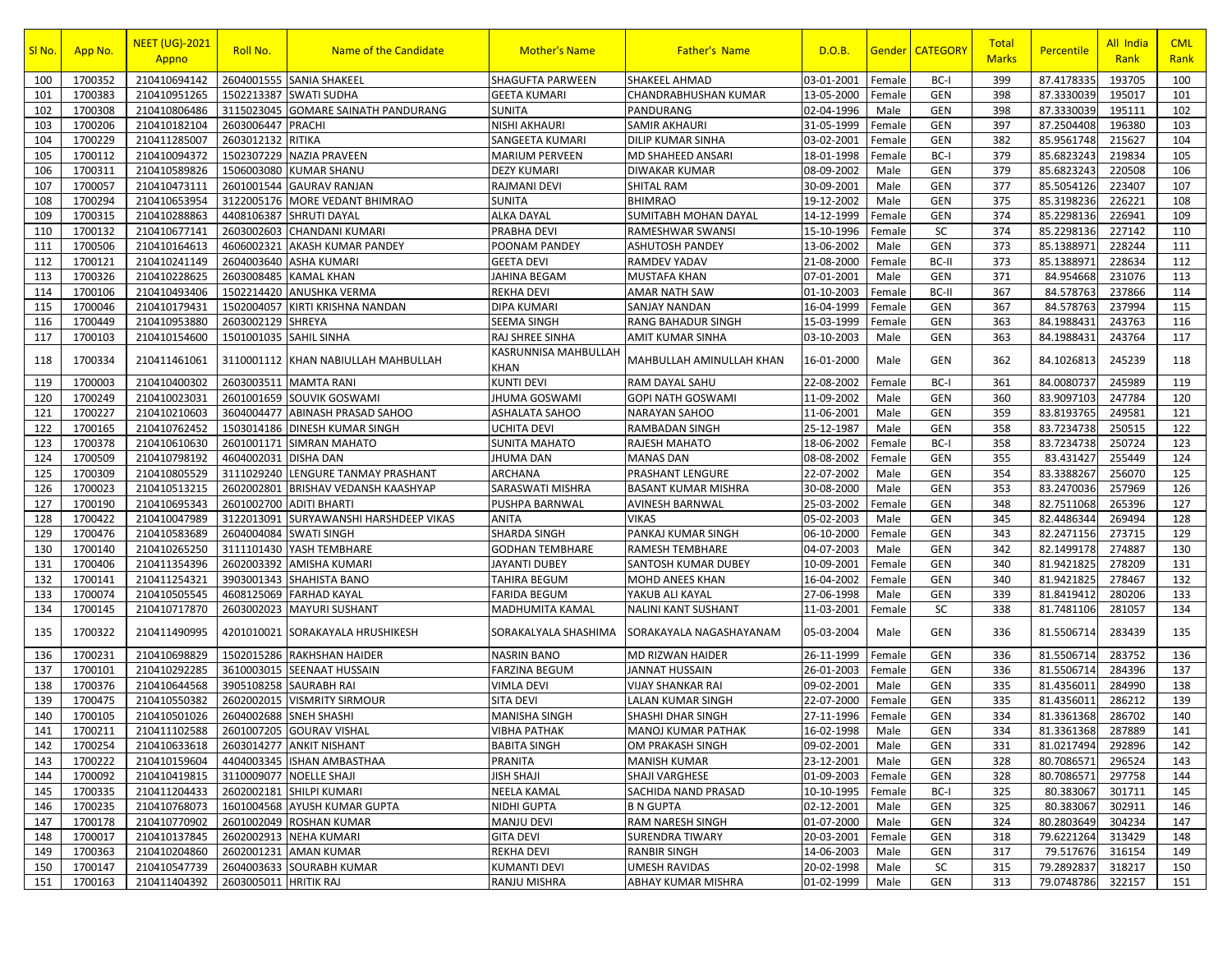| SI No. | App No. | <b>NEET (UG)-2021</b><br>Appno | Roll No.              | Name of the Candidate           | <b>Mother's Name</b>                | <b>Father's Name</b>       | D.O.B.     | <u>Gender</u> | <b>CATEGORY</b> | Total<br><b>Marks</b> | Percentile | All India<br>Rank | <b>CML</b><br>Rank |
|--------|---------|--------------------------------|-----------------------|---------------------------------|-------------------------------------|----------------------------|------------|---------------|-----------------|-----------------------|------------|-------------------|--------------------|
| 100    | 1700352 | 210410694142                   | 2604001555            | <b>SANIA SHAKEEL</b>            | <b>SHAGUFTA PARWEEN</b>             | SHAKEEL AHMAD              | 03-01-2001 | Female        | BC-I            | 399                   | 87.4178335 | 193705            | 100                |
| 101    | 1700383 | 210410951265                   | 1502213387            | <b>SWATI SUDHA</b>              | <b>GEETA KUMARI</b>                 | CHANDRABHUSHAN KUMAR       | 13-05-2000 | Female        | <b>GEN</b>      | 398                   | 87.3330039 | 195017            | 101                |
| 102    | 1700308 | 210410806486                   | 3115023045            | <b>GOMARE SAINATH PANDURANG</b> | <b>SUNITA</b>                       | PANDURANG                  | 02-04-1996 | Male          | GEN             | 398                   | 87.3330039 | 195111            | 102                |
| 103    | 1700206 | 210410182104                   | 2603006447            | <b>PRACHI</b>                   | NISHI AKHAURI                       | SAMIR AKHAURI              | 31-05-1999 | Female        | GEN             | 397                   | 87.2504408 | 196380            | 103                |
| 104    | 1700229 | 210411285007                   | 2603012132            | <b>RITIKA</b>                   | SANGEETA KUMARI                     | DILIP KUMAR SINHA          | 03-02-2001 | Female        | GEN             | 382                   | 85.9561748 | 215627            | 104                |
| 105    | 1700112 | 210410094372                   | 1502307229            | <b>NAZIA PRAVEEN</b>            | <b>MARIUM PERVEEN</b>               | MD SHAHEED ANSARI          | 18-01-1998 | Female        | BC-I            | 379                   | 85.6823243 | 219834            | 105                |
| 106    | 1700311 | 210410589826                   | 1506003080            | <b>KUMAR SHANU</b>              | <b>DEZY KUMARI</b>                  | DIWAKAR KUMAR              | 08-09-2002 | Male          | GEN             | 379                   | 85.6823243 | 220508            | 106                |
| 107    | 1700057 | 210410473111                   | 2601001544            | <b>GAURAV RANJAN</b>            | <b>RAJMANI DEVI</b>                 | SHITAL RAM                 | 30-09-2001 | Male          | GEN             | 377                   | 85.5054126 | 223407            | 107                |
| 108    | 1700294 | 210410653954                   | 3122005176            | MORE VEDANT BHIMRAO             | <b>SUNITA</b>                       | <b>BHIMRAO</b>             | 19-12-2002 | Male          | GEN             | 375                   | 85.3198236 | 226221            | 108                |
| 109    | 1700315 | 210410288863                   | 4408106387            | <b>SHRUTI DAYAL</b>             | ALKA DAYAL                          | SUMITABH MOHAN DAYAL       | 14-12-1999 | Female        | GEN             | 374                   | 85.2298136 | 226941            | 109                |
| 110    | 1700132 | 210410677141                   | 2603002603            | <b>CHANDANI KUMARI</b>          | <b>PRABHA DEVI</b>                  | RAMESHWAR SWANSI           | 15-10-1996 | Female        | <b>SC</b>       | 374                   | 85.2298136 | 227142            | 110                |
| 111    | 1700506 | 210410164613                   | 4606002321            | AKASH KUMAR PANDEY              | POONAM PANDEY                       | ASHUTOSH PANDEY            | 13-06-2002 | Male          | GEN             | 373                   | 85.1388971 | 228244            | 111                |
| 112    | 1700121 | 210410241149                   | 2604003640            | <b>ASHA KUMARI</b>              | <b>GEETA DEVI</b>                   | RAMDEV YADAV               | 21-08-2000 | Female        | BC-II           | 373                   | 85.1388971 | 228634            | 112                |
| 113    | 1700326 | 210410228625                   | 2603008485            | <b>KAMAL KHAN</b>               | JAHINA BEGAM                        | MUSTAFA KHAN               | 07-01-2001 | Male          | <b>GEN</b>      | 371                   | 84.954668  | 231076            | 113                |
| 114    | 1700106 | 210410493406                   | 1502214420            | ANUSHKA VERMA                   | <b>REKHA DEVI</b>                   | AMAR NATH SAW              | 01-10-2003 | Female        | BC-II           | 367                   | 84.578763  | 237866            | 114                |
| 115    | 1700046 | 210410179431                   | 1502004057            | KIRTI KRISHNA NANDAN            | <b>DIPA KUMARI</b>                  | SANJAY NANDAN              | 16-04-1999 | Female        | <b>GEN</b>      | 367                   | 84.578763  | 237994            | 115                |
| 116    | 1700449 | 210410953880                   | 2603002129            | <b>SHREYA</b>                   | SEEMA SINGH                         | RANG BAHADUR SINGH         | 15-03-1999 | Female        | GEN             | 363                   | 84.1988431 | 243763            | 116                |
| 117    | 1700103 | 210410154600                   | 1501001035            | <b>SAHIL SINHA</b>              | RAJ SHREE SINHA                     | AMIT KUMAR SINHA           | 03-10-2003 | Male          | GEN             | 363                   | 84.1988431 | 243764            | 117                |
| 118    | 1700334 | 210411461061                   | 3110001112            | KHAN NABIULLAH MAHBULLAH        | KASRUNNISA MAHBULLAH<br><b>KHAN</b> | MAHBULLAH AMINULLAH KHAN   | 16-01-2000 | Male          | GEN             | 362                   | 84.1026813 | 245239            | 118                |
| 119    | 1700003 | 210410400302                   | 2603003511            | <b>MAMTA RANI</b>               | KUNTI DEVI                          | RAM DAYAL SAHU             | 22-08-2002 | Female        | BC-I            | 361                   | 84.0080737 | 245989            | 119                |
| 120    | 1700249 | 210410023031                   | 2601001659            | SOUVIK GOSWAMI                  | <b>JHUMA GOSWAMI</b>                | GOPI NATH GOSWAMI          | 11-09-2002 | Male          | GEN             | 360                   | 83.9097103 | 247784            | 120                |
| 121    | 1700227 | 210410210603                   | 3604004477            | <b>ABINASH PRASAD SAHOO</b>     | ASHALATA SAHOO                      | NARAYAN SAHOO              | 11-06-2001 | Male          | GEN             | 359                   | 83.8193765 | 249581            | 121                |
| 122    | 1700165 | 210410762452                   | 1503014186            | <b>DINESH KUMAR SINGH</b>       | <b>UCHITA DEVI</b>                  | RAMBADAN SINGH             | 25-12-1987 | Male          | GEN             | 358                   | 83.7234738 | 250515            | 122                |
| 123    | 1700378 | 210410610630                   | 2601001171            | <b>SIMRAN MAHATO</b>            | <b>SUNITA MAHATO</b>                | RAJESH MAHATO              | 18-06-2002 | Female        | BC-I            | 358                   | 83.7234738 | 250724            | 123                |
| 124    | 1700509 | 210410798192                   | 4604002031            | <b>DISHA DAN</b>                | <b>JHUMA DAN</b>                    | MANAS DAN                  | 08-08-2002 | Female        | GEN             | 355                   | 83.431427  | 255449            | 124                |
| 125    | 1700309 | 210410805529                   | 3111029240            | LENGURE TANMAY PRASHANT         | ARCHANA                             | PRASHANT LENGURE           | 22-07-2002 | Male          | GEN             | 354                   | 83.3388267 | 256070            | 125                |
| 126    | 1700023 | 210410513215                   | 2602002801            | <b>BRISHAV VEDANSH KAASHYAP</b> | SARASWATI MISHRA                    | <b>BASANT KUMAR MISHRA</b> | 30-08-2000 | Male          | GEN             | 353                   | 83.2470036 | 257969            | 126                |
| 127    | 1700190 | 210410695343                   | 2601002700            | <b>ADITI BHARTI</b>             | PUSHPA BARNWAL                      | AVINESH BARNWAI            | 25-03-2002 | Female        | <b>GEN</b>      | 348                   | 82.7511068 | 265396            | 127                |
| 128    | 1700422 | 210410047989                   | 3122013091            | SURYAWANSHI HARSHDEEP VIKAS     | <b>ANITA</b>                        | VIKAS                      | 05-02-2003 | Male          | GEN             | 345                   | 82.4486344 | 269494            | 128                |
| 129    | 1700476 | 210410583689                   | 2604004084            | <b>SWATI SINGH</b>              | SHARDA SINGH                        | PANKAJ KUMAR SINGH         | 06-10-2000 | Female        | <b>GEN</b>      | 343                   | 82.2471156 | 273715            | 129                |
| 130    | 1700140 | 210410265250                   | 3111101430            | YASH TEMBHARE                   | <b>GODHAN TEMBHARE</b>              | RAMESH TEMBHARE            | 04-07-2003 | Male          | GEN             | 342                   | 82.1499178 | 274887            | 130                |
| 131    | 1700406 | 210411354396                   | 2602003392            | <b>AMISHA KUMARI</b>            | <b>JAYANTI DUBEY</b>                | SANTOSH KUMAR DUBEY        | 10-09-2001 | Female        | <b>GEN</b>      | 340                   | 81.9421825 | 278209            | 131                |
| 132    | 1700141 | 210411254321                   | 3903001343            | <b>SHAHISTA BANO</b>            | TAHIRA BEGUM                        | MOHD ANEES KHAN            | 16-04-2002 | Female        | GEN             | 340                   | 81.9421825 | 278467            | 132                |
| 133    | 1700074 | 210410505545                   | 4608125069            | <b>FARHAD KAYAL</b>             | <b>FARIDA BEGUM</b>                 | YAKUB ALI KAYAL            | 27-06-1998 | Male          | GEN             | 339                   | 81.8419412 | 280206            | 133                |
| 134    | 1700145 | 210410717870                   | 2603002023            | <b>MAYURI SUSHANT</b>           | MADHUMITA KAMAL                     | NALINI KANT SUSHANT        | 11-03-2001 | Female        | SC              | 338                   | 81.7481106 | 281057            | 134                |
| 135    | 1700322 | 210411490995                   | 4201010021            | SORAKAYALA HRUSHIKESH           | SORAKALYALA SHASHIMA                | SORAKAYALA NAGASHAYANAM    | 05-03-2004 | Male          | <b>GEN</b>      | 336                   | 81.5506714 | 283439            | 135                |
| 136    | 1700231 | 210410698829                   | 1502015286            | <b>RAKHSHAN HAIDER</b>          | <b>NASRIN BANO</b>                  | MD RIZWAN HAIDER           | 26-11-1999 | Female        | GEN             | 336                   | 81.5506714 | 283752            | 136                |
| 137    | 1700101 | 210410292285                   | 3610003015            | SEENAAT HUSSAIN                 | <b>FARZINA BEGUM</b>                | <b>JANNAT HUSSAIN</b>      | 26-01-2003 | Female        | GEN             | 336                   | 81.5506714 | 284396            | 137                |
| 138    | 1700376 | 210410644568                   | 3905108258            | <b>SAURABH RAI</b>              | VIMLA DEVI                          | VIJAY SHANKAR RAI          | 09-02-2001 | Male          | GEN             | 335                   | 81.4356011 | 284990            | 138                |
| 139    | 1700475 | 210410550382                   | 2602002015            | <b>VISMRITY SIRMOUR</b>         | <b>SITA DEVI</b>                    | LALAN KUMAR SINGH          | 22-07-2000 | Female        | GEN             | 335                   | 81.4356011 | 286212            | 139                |
| 140    | 1700105 | 210410501026                   | 2604002688            | <b>SNEH SHASHI</b>              | <b>MANISHA SINGH</b>                | SHASHI DHAR SINGH          | 27-11-1996 | Female        | <b>GEN</b>      | 334                   | 81.3361368 | 286702            | 140                |
| 141    | 1700211 | 210411102588                   |                       | 2601007205 GOURAV VISHAL        | VIBHA PATHAK                        | MANOJ KUMAR PATHAK         | 16-02-1998 | Male          | GEN             | 334                   | 81.3361368 | 287889            | 141                |
| 142    | 1700254 | 210410633618                   |                       | 2603014277 ANKIT NISHANT        | <b>BABITA SINGH</b>                 | OM PRAKASH SINGH           | 09-02-2001 | Male          | GEN             | 331                   | 81.0217494 | 292896            | 142                |
| 143    | 1700222 | 210410159604                   |                       | 4404003345 ISHAN AMBASTHAA      | PRANITA                             | <b>MANISH KUMAR</b>        | 23-12-2001 | Male          | GEN             | 328                   | 80.7086571 | 296524            | 143                |
| 144    | 1700092 | 210410419815                   |                       | 3110009077 NOELLE SHAJI         | <b>JISH SHAJI</b>                   | SHAJI VARGHESE             | 01-09-2003 | Female        | <b>GEN</b>      | 328                   | 80.7086571 | 297758            | 144                |
| 145    | 1700335 | 210411204433                   | 2602002181            | <b>SHILPI KUMARI</b>            | <b>NEELA KAMAL</b>                  | SACHIDA NAND PRASAD        | 10-10-1995 | Female        | BC-I            | 325                   | 80.383067  | 301711            | 145                |
| 146    | 1700235 | 210410768073                   | 1601004568            | <b>AYUSH KUMAR GUPTA</b>        | <b>NIDHI GUPTA</b>                  | <b>B N GUPTA</b>           | 02-12-2001 | Male          | GEN             | 325                   | 80.383067  | 302911            | 146                |
| 147    | 1700178 | 210410770902                   |                       | 2601002049 ROSHAN KUMAR         | <b>MANJU DEVI</b>                   | RAM NARESH SINGH           | 01-07-2000 | Male          | GEN             | 324                   | 80.2803649 | 304234            | 147                |
| 148    | 1700017 | 210410137845                   |                       | 2602002913 NEHA KUMARI          | <b>GITA DEVI</b>                    | <b>SURENDRA TIWARY</b>     | 20-03-2001 | Female        | <b>GEN</b>      | 318                   | 79.6221264 | 313429            | 148                |
| 149    | 1700363 | 210410204860                   | 2602001231            | <b>AMAN KUMAR</b>               | <b>REKHA DEVI</b>                   | RANBIR SINGH               | 14-06-2003 | Male          | <b>GEN</b>      | 317                   | 79.517676  | 316154            | 149                |
| 150    | 1700147 | 210410547739                   | 2604003633            | <b>SOURABH KUMAR</b>            | <b>KUMANTI DEVI</b>                 | UMESH RAVIDAS              | 20-02-1998 | Male          | SC              | 315                   | 79.2892837 | 318217            | 150                |
| 151    | 1700163 | 210411404392                   | 2603005011 HRITIK RAJ |                                 | RANJU MISHRA                        | ABHAY KUMAR MISHRA         | 01-02-1999 | Male          | <b>GEN</b>      | 313                   | 79.0748786 | 322157            | 151                |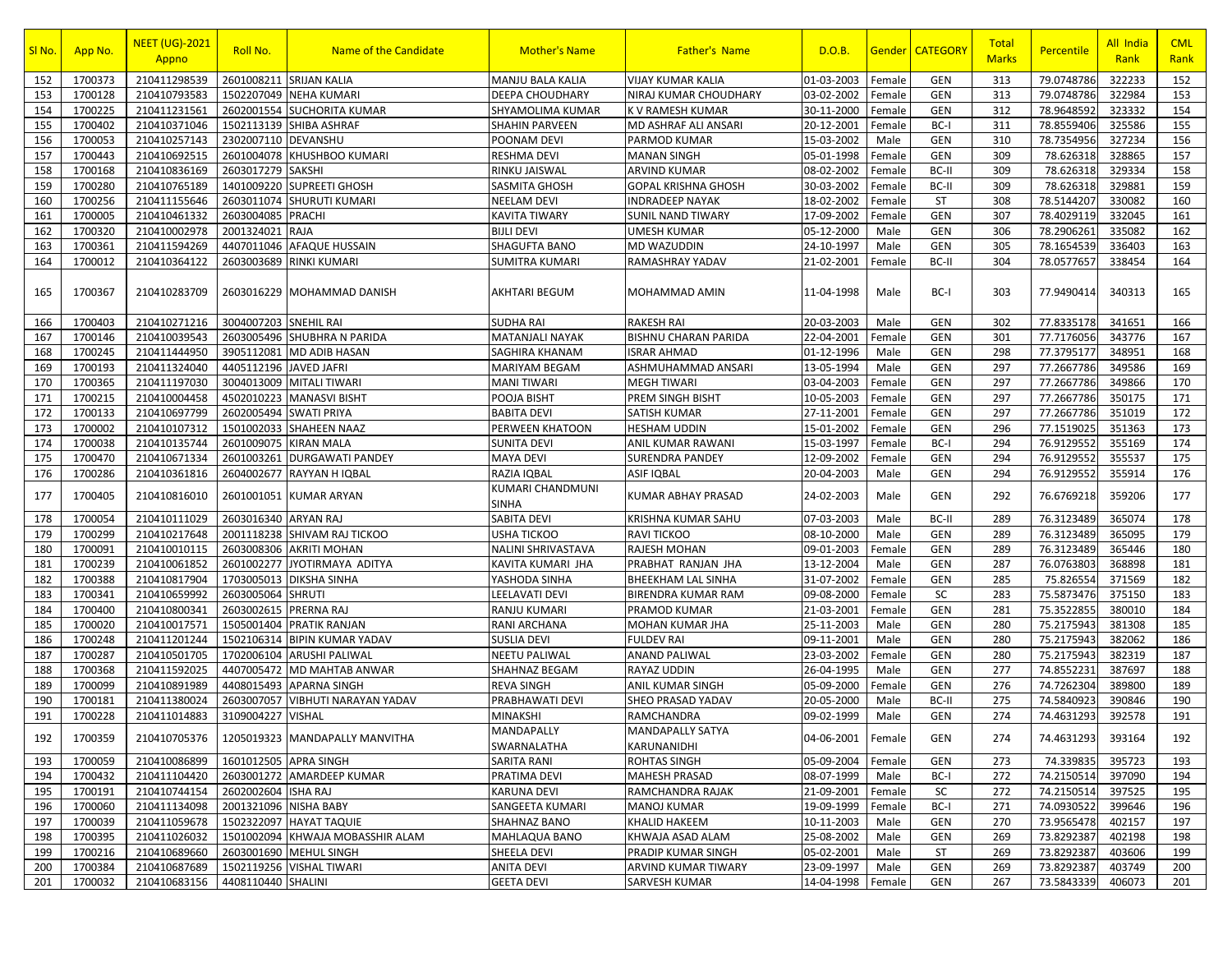| SI No. | App No. | <b>NEET (UG)-2021</b><br>Appno | Roll No.              | Name of the Candidate            | <b>Mother's Name</b>             | <b>Father's Name</b>                   | D.O.B.              |        | Gender CATEGORY | <b>Total</b><br><b>Marks</b> | Percentile | All India<br>Rank | <b>CML</b><br>Rank |
|--------|---------|--------------------------------|-----------------------|----------------------------------|----------------------------------|----------------------------------------|---------------------|--------|-----------------|------------------------------|------------|-------------------|--------------------|
| 152    | 1700373 | 210411298539                   | 2601008211            | <b>SRIJAN KALIA</b>              | MANJU BALA KALIA                 | <b>VIJAY KUMAR KALIA</b>               | 01-03-2003          | Female | <b>GEN</b>      | 313                          | 79.0748786 | 322233            | 152                |
| 153    | 1700128 | 210410793583                   |                       | 1502207049 NEHA KUMARI           | DEEPA CHOUDHARY                  | NIRAJ KUMAR CHOUDHARY                  | 03-02-2002          | Female | <b>GEN</b>      | 313                          | 79.0748786 | 322984            | 153                |
| 154    | 1700225 | 210411231561                   | 2602001554            | <b>SUCHORITA KUMAR</b>           | SHYAMOLIMA KUMAR                 | K V RAMESH KUMAR                       | 30-11-2000          | Female | <b>GEN</b>      | 312                          | 78.9648592 | 323332            | 154                |
| 155    | 1700402 | 210410371046                   | 1502113139            | <b>SHIBA ASHRAF</b>              | SHAHIN PARVEEN                   | MD ASHRAF ALI ANSARI                   | 20-12-2001          | Female | BC-I            | 311                          | 78.8559406 | 325586            | 155                |
| 156    | 1700053 | 210410257143                   | 2302007110            | DEVANSHU                         | POONAM DEVI                      | PARMOD KUMAR                           | 15-03-2002          | Male   | <b>GEN</b>      | 310                          | 78.7354956 | 327234            | 156                |
| 157    | 1700443 | 210410692515                   | 2601004078            | KHUSHBOO KUMARI                  | <b>RESHMA DEVI</b>               | <b>MANAN SINGH</b>                     | 05-01-1998          | Female | <b>GEN</b>      | 309                          | 78.626318  | 328865            | 157                |
| 158    | 1700168 | 210410836169                   | 2603017279            | <b>SAKSHI</b>                    | RINKU JAISWAL                    | ARVIND KUMAR                           | 08-02-2002          | Female | BC-II           | 309                          | 78.626318  | 329334            | 158                |
| 159    | 1700280 | 210410765189                   | 1401009220            | <b>SUPREETI GHOSH</b>            | SASMITA GHOSH                    | <b>GOPAL KRISHNA GHOSH</b>             | 30-03-2002          | Female | BC-II           | 309                          | 78.626318  | 329881            | 159                |
| 160    | 1700256 | 210411155646                   | 2603011074            | <b>SHURUTI KUMARI</b>            | <b>NEELAM DEVI</b>               | <b>INDRADEEP NAYAK</b>                 | 18-02-2002          | Female | <b>ST</b>       | 308                          | 78.5144207 | 330082            | 160                |
| 161    | 1700005 | 210410461332                   | 2603004085            | <b>PRACHI</b>                    | KAVITA TIWARY                    | SUNIL NAND TIWARY                      | 17-09-2002          | Female | <b>GEN</b>      | 307                          | 78.4029119 | 332045            | 161                |
| 162    | 1700320 | 210410002978                   | 2001324021            | RAJA                             | <b>BIJLI DEVI</b>                | <b>UMESH KUMAR</b>                     | 05-12-2000          | Male   | <b>GEN</b>      | 306                          | 78.2906261 | 335082            | 162                |
| 163    | 1700361 | 210411594269                   | 4407011046            | <b>AFAQUE HUSSAIN</b>            | <b>SHAGUFTA BANO</b>             | MD WAZUDDIN                            | 24-10-1997          | Male   | <b>GEN</b>      | 305                          | 78.1654539 | 336403            | 163                |
| 164    | 1700012 | 210410364122                   | 2603003689            | <b>RINKI KUMARI</b>              | SUMITRA KUMARI                   | RAMASHRAY YADAV                        | 21-02-2001          | Female | BC-II           | 304                          | 78.0577657 | 338454            | 164                |
| 165    | 1700367 | 210410283709                   |                       | 2603016229 MOHAMMAD DANISH       | AKHTARI BEGUM                    | MOHAMMAD AMIN                          | 11-04-1998          | Male   | BC-I            | 303                          | 77.9490414 | 340313            | 165                |
| 166    | 1700403 | 210410271216                   | 3004007203 SNEHIL RAI |                                  | <b>SUDHA RAI</b>                 | <b>RAKESH RAI</b>                      | 20-03-2003          | Male   | <b>GEN</b>      | 302                          | 77.8335178 | 341651            | 166                |
| 167    | 1700146 | 210410039543                   |                       | 2603005496 SHUBHRA N PARIDA      | <b>MATANJALI NAYAK</b>           | <b>BISHNU CHARAN PARIDA</b>            | 22-04-2001          | Female | <b>GEN</b>      | 301                          | 77.7176056 | 343776            | 167                |
| 168    | 1700245 | 210411444950                   | 3905112081            | <b>MD ADIB HASAN</b>             | SAGHIRA KHANAM                   | <b>ISRAR AHMAD</b>                     | 01-12-1996          | Male   | <b>GEN</b>      | 298                          | 77.3795177 | 348951            | 168                |
| 169    | 1700193 | 210411324040                   | 4405112196            | <b>JAVED JAFRI</b>               | MARIYAM BEGAM                    | ASHMUHAMMAD ANSARI                     | 13-05-1994          | Male   | <b>GEN</b>      | 297                          | 77.2667786 | 349586            | 169                |
| 170    | 1700365 | 210411197030                   | 3004013009            | <b>MITALI TIWARI</b>             | MANI TIWARI                      | <b>MEGH TIWARI</b>                     | 03-04-2003          | Female | <b>GEN</b>      | 297                          | 77.2667786 | 349866            | 170                |
| 171    | 1700215 | 210410004458                   | 4502010223            | <b>MANASVI BISHT</b>             | POOJA BISHT                      | PREM SINGH BISHT                       | 10-05-2003          | Female | <b>GEN</b>      | 297                          | 77.2667786 | 350175            | 171                |
| 172    | 1700133 | 210410697799                   | 2602005494            | <b>SWATI PRIYA</b>               | <b>BABITA DEVI</b>               | SATISH KUMAR                           | 27-11-2001          | Female | <b>GEN</b>      | 297                          | 77.2667786 | 351019            | 172                |
| 173    | 1700002 | 210410107312                   | 1501002033            | <b>SHAHEEN NAAZ</b>              | PERWEEN KHATOON                  | <b>HESHAM UDDIN</b>                    | 15-01-2002          | Female | <b>GEN</b>      | 296                          | 77.1519025 | 351363            | 173                |
| 174    | 1700038 | 210410135744                   | 2601009075            | <b>KIRAN MALA</b>                | SUNITA DEVI                      | ANIL KUMAR RAWANI                      | 15-03-1997          | Female | BC-I            | 294                          | 76.9129552 | 355169            | 174                |
| 175    | 1700470 | 210410671334                   | 2601003261            | <b>DURGAWATI PANDEY</b>          | <b>MAYA DEVI</b>                 | <b>SURENDRA PANDEY</b>                 | 12-09-2002          | Female | <b>GEN</b>      | 294                          | 76.9129552 | 355537            | 175                |
| 176    | 1700286 | 210410361816                   | 2604002677            | RAYYAN H IQBAL                   | <b>RAZIA IOBAL</b>               | <b>ASIF IQBAL</b>                      | 20-04-2003          | Male   | <b>GEN</b>      | 294                          | 76.9129552 | 355914            | 176                |
| 177    | 1700405 | 210410816010                   | 2601001051            | <b>KUMAR ARYAN</b>               | KUMARI CHANDMUNI<br>SINHA        | KUMAR ABHAY PRASAD                     | 24-02-2003          | Male   | <b>GEN</b>      | 292                          | 76.6769218 | 359206            | 177                |
| 178    | 1700054 | 210410111029                   | 2603016340            | <b>ARYAN RAJ</b>                 | SABITA DEVI                      | KRISHNA KUMAR SAHU                     | 07-03-2003          | Male   | BC-II           | 289                          | 76.3123489 | 365074            | 178                |
| 179    | 1700299 | 210410217648                   | 2001118238            | SHIVAM RAJ TICKOO                | <b>USHA TICKOO</b>               | RAVI TICKOO                            | 08-10-2000          | Male   | <b>GEN</b>      | 289                          | 76.3123489 | 365095            | 179                |
| 180    | 1700091 | 210410010115                   | 2603008306            | <b>AKRITI MOHAN</b>              | NALINI SHRIVASTAVA               | RAJESH MOHAN                           | 09-01-2003          | Female | <b>GEN</b>      | 289                          | 76.3123489 | 365446            | 180                |
| 181    | 1700239 | 210410061852                   | 2601002277            | JYOTIRMAYA ADITYA                | KAVITA KUMARI JHA                | PRABHAT RANJAN JHA                     | 13-12-2004          | Male   | <b>GEN</b>      | 287                          | 76.0763803 | 368898            | 181                |
| 182    | 1700388 | 210410817904                   | 1703005013            | <b>DIKSHA SINHA</b>              | YASHODA SINHA                    | BHEEKHAM LAL SINHA                     | 31-07-2002          | Female | <b>GEN</b>      | 285                          | 75.826554  | 371569            | 182                |
| 183    | 1700341 | 210410659992                   | 2603005064            | <b>SHRUTI</b>                    | LEELAVATI DEVI                   | <b>BIRENDRA KUMAR RAM</b>              | 09-08-2000          | Female | SC              | 283                          | 75.5873476 | 375150            | 183                |
| 184    | 1700400 | 210410800341                   | 2603002615            | PRERNA RAJ                       | RANJU KUMARI                     | PRAMOD KUMAR                           | 21-03-2001          | Female | <b>GEN</b>      | 281                          | 75.3522855 | 380010            | 184                |
| 185    | 1700020 | 210410017571                   | 1505001404            | PRATIK RANJAN                    | RANI ARCHANA                     | MOHAN KUMAR JHA                        | 25-11-2003          | Male   | <b>GEN</b>      | 280                          | 75.2175943 | 381308            | 185                |
| 186    | 1700248 | 210411201244                   | 1502106314            | <b>BIPIN KUMAR YADAV</b>         | SUSLIA DEVI                      | <b>FULDEV RAI</b>                      | 09-11-2001          | Male   | <b>GEN</b>      | 280                          | 75.2175943 | 382062            | 186                |
| 187    | 1700287 | 210410501705                   | 1702006104            | ARUSHI PALIWAL                   | <b>NEETU PALIWAL</b>             | <b>ANAND PALIWAL</b>                   | 23-03-2002          | Female | <b>GEN</b>      | 280                          | 75.2175943 | 382319            | 187                |
| 188    | 1700368 | 210411592025                   | 4407005472            | <b>MD MAHTAB ANWAR</b>           | SHAHNAZ BEGAM                    | RAYAZ UDDIN                            | 26-04-1995          | Male   | <b>GEN</b>      | 277                          | 74.8552231 | 387697            | 188                |
| 189    | 1700099 | 210410891989                   | 4408015493            | <b>APARNA SINGH</b>              | <b>REVA SINGH</b>                | ANIL KUMAR SINGH                       | 05-09-2000          | Female | <b>GEN</b>      | 276                          | 74.7262304 | 389800            | 189                |
| 190    | 1700181 | 210411380024                   | 2603007057            | VIBHUTI NARAYAN YADAV            | PRABHAWATI DEVI                  | SHEO PRASAD YADAV                      | 20-05-2000          | Male   | BC-II           | 275                          | 74.5840923 | 390846            | 190                |
| 191    | 1700228 | 210411014883                   | 3109004227            | <b>VISHAL</b>                    | <b>MINAKSHI</b>                  | RAMCHANDRA                             | 09-02-1999          | Male   | <b>GEN</b>      | 274                          | 74.4631293 | 392578            | 191                |
| 192    | 1700359 | 210410705376                   |                       | 1205019323 MANDAPALLY MANVITHA   | <b>MANDAPALLY</b><br>SWARNALATHA | <b>MANDAPALLY SATYA</b><br>KARUNANIDHI | 04-06-2001   Female |        | <b>GEN</b>      | 274                          | 74.4631293 | 393164            | 192                |
| 193    | 1700059 | 210410086899                   |                       | 1601012505 APRA SINGH            | SARITA RANI                      | <b>ROHTAS SINGH</b>                    | 05-09-2004          | Female | <b>GEN</b>      | 273                          | 74.339835  | 395723            | 193                |
| 194    | 1700432 | 210411104420                   |                       | 2603001272 AMARDEEP KUMAR        | PRATIMA DEVI                     | <b>MAHESH PRASAD</b>                   | 08-07-1999          | Male   | BC-I            | 272                          | 74.2150514 | 397090            | 194                |
| 195    | 1700191 | 210410744154                   | 2602002604 ISHA RAJ   |                                  | <b>KARUNA DEVI</b>               | RAMCHANDRA RAJAK                       | 21-09-2001          | Female | <b>SC</b>       | 272                          | 74.2150514 | 397525            | 195                |
| 196    | 1700060 | 210411134098                   | 2001321096 NISHA BABY |                                  | SANGEETA KUMARI                  | <b>MANOJ KUMAR</b>                     | 19-09-1999          | Female | BC-I            | 271                          | 74.0930522 | 399646            | 196                |
| 197    | 1700039 | 210411059678                   | 1502322097            | <b>HAYAT TAQUIE</b>              | SHAHNAZ BANO                     | KHALID HAKEEM                          | 10-11-2003          | Male   | <b>GEN</b>      | 270                          | 73.9565478 | 402157            | 197                |
| 198    | 1700395 | 210411026032                   |                       | 1501002094 KHWAJA MOBASSHIR ALAM | MAHLAQUA BANO                    | KHWAJA ASAD ALAM                       | 25-08-2002          | Male   | <b>GEN</b>      | 269                          | 73.8292387 | 402198            | 198                |
| 199    | 1700216 | 210410689660                   |                       | 2603001690 MEHUL SINGH           | SHEELA DEVI                      | PRADIP KUMAR SINGH                     | 05-02-2001          | Male   | <b>ST</b>       | 269                          | 73.8292387 | 403606            | 199                |
| 200    | 1700384 | 210410687689                   |                       | 1502119256 VISHAL TIWARI         | <b>ANITA DEVI</b>                | ARVIND KUMAR TIWARY                    | 23-09-1997          | Male   | <b>GEN</b>      | 269                          | 73.8292387 | 403749            | 200                |
| 201    | 1700032 | 210410683156                   | 4408110440 SHALINI    |                                  | <b>GEETA DEVI</b>                | SARVESH KUMAR                          | 14-04-1998          | Female | <b>GEN</b>      | 267                          | 73.5843339 | 406073            | 201                |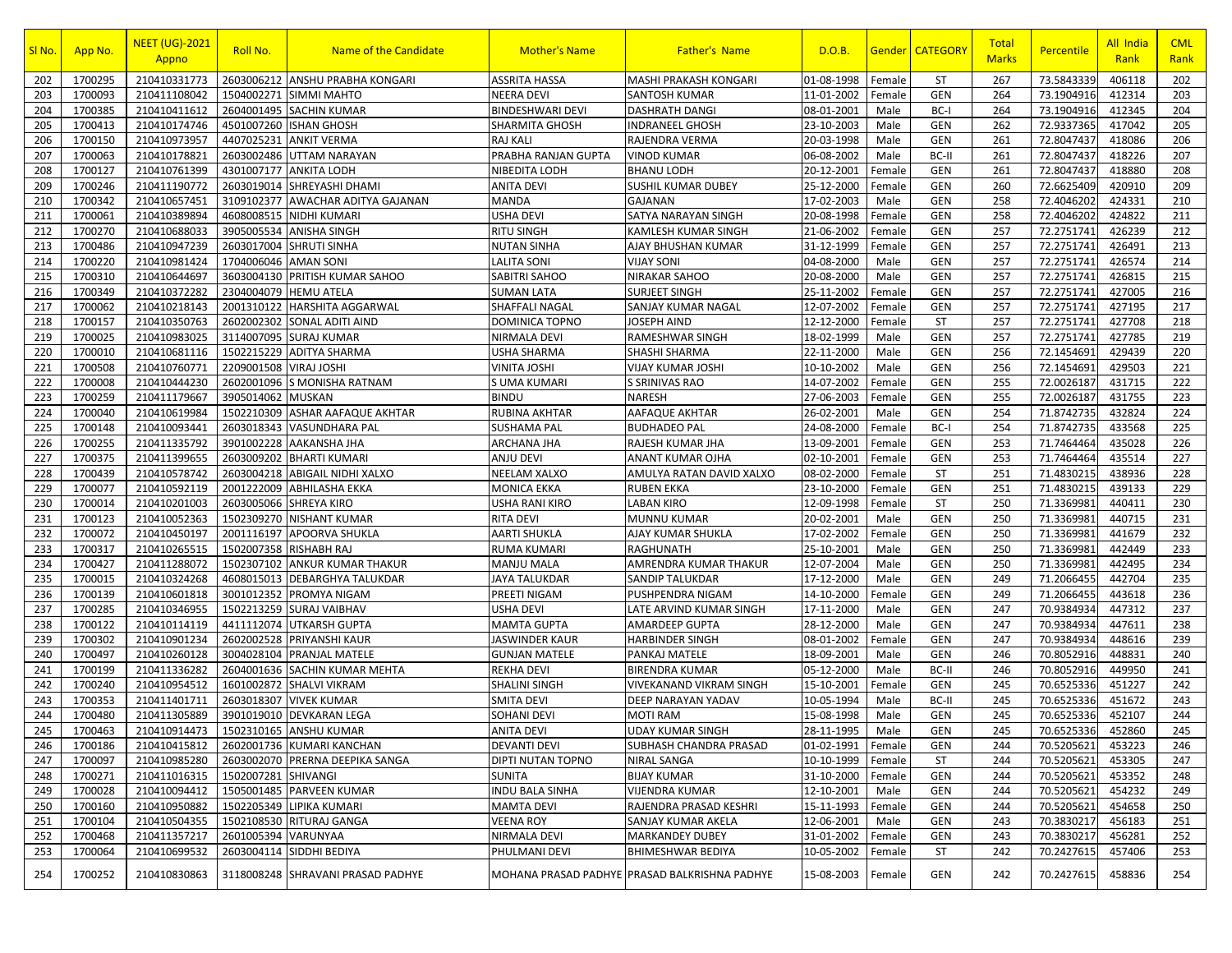| SI No.     | App No.            | <b>NEET (UG)-2021</b><br>Appno        | Roll No.                 | <b>Name of the Candidate</b>                   | <b>Mother's Name</b>                        | <b>Father's Name</b>                          | D.O.B.                          | <u>Gender</u>    | <b>CATEGORY</b>   | Total<br><b>Marks</b> | <b>Percentile</b>        | All India<br>Rank | <b>CML</b><br>Rank |
|------------|--------------------|---------------------------------------|--------------------------|------------------------------------------------|---------------------------------------------|-----------------------------------------------|---------------------------------|------------------|-------------------|-----------------------|--------------------------|-------------------|--------------------|
| 202        | 1700295            | 210410331773                          | 2603006212               | <b>ANSHU PRABHA KONGARI</b>                    | <b>ASSRITA HASSA</b>                        | <b>MASHI PRAKASH KONGARI</b>                  | 01-08-1998                      | Female           | <b>ST</b>         | 267                   | 73.5843339               | 406118            | 202                |
| 203        | 1700093            | 210411108042                          | 1504002271               | <b>SIMMI MAHTO</b>                             | NEERA DEVI                                  | SANTOSH KUMAR                                 | 11-01-2002                      | Female           | GEN               | 264                   | 73.1904916               | 412314            | 203                |
| 204        | 1700385            | 210410411612                          | 2604001495               | <b>SACHIN KUMAR</b>                            | <b>BINDESHWARI DEVI</b>                     | <b>DASHRATH DANGI</b>                         | 08-01-2001                      | Male             | BC-I              | 264                   | 73.1904916               | 412345            | 204                |
| 205        | 1700413            | 210410174746                          | 4501007260               | <b>ISHAN GHOSH</b>                             | SHARMITA GHOSH                              | <b>INDRANEEL GHOSH</b>                        | 23-10-2003                      | Male             | <b>GEN</b>        | 262                   | 72.9337365               | 417042            | 205                |
| 206        | 1700150            | 210410973957                          | 4407025231               | <b>ANKIT VERMA</b>                             | <b>RAJ KALI</b>                             | RAJENDRA VERMA                                | 20-03-1998                      | Male             | GEN               | 261                   | 72.8047437               | 418086            | 206                |
| 207        | 1700063            | 210410178821                          | 2603002486               | UTTAM NARAYAN                                  | PRABHA RANJAN GUPTA                         | VINOD KUMAR                                   | 06-08-2002                      | Male             | BC-II             | 261                   | 72.8047437               | 418226            | 207                |
| 208        | 1700127            | 210410761399                          | 4301007177               | <b>ANKITA LODH</b>                             | NIBEDITA LODH                               | BHANU LODH                                    | 20-12-2001                      | Female           | GEN               | 261                   | 72.8047437               | 418880            | 208                |
| 209        | 1700246            | 210411190772                          | 2603019014               | SHREYASHI DHAMI                                | <b>ANITA DEVI</b>                           | <b>SUSHIL KUMAR DUBEY</b>                     | 25-12-2000                      | Female           | <b>GEN</b>        | 260                   | 72.6625409               | 420910            | 209                |
| 210        | 1700342            | 210410657451                          | 3109102377               | <b>AWACHAR ADITYA GAJANAN</b>                  | <b>MANDA</b>                                | GAJANAN                                       | 17-02-2003                      | Male             | GEN               | 258                   | 72.4046202               | 424331            | 210                |
| 211        | 1700061            | 210410389894                          | 4608008515               | <b>NIDHI KUMARI</b>                            | <b>USHA DEVI</b>                            | SATYA NARAYAN SINGH                           | 20-08-1998                      | Female           | <b>GEN</b>        | 258                   | 72.4046202               | 424822            | 211                |
| 212        | 1700270            | 210410688033                          | 3905005534               | <b>ANISHA SINGH</b>                            | <b>RITU SINGH</b>                           | KAMLESH KUMAR SINGH                           | 21-06-2002                      | Female           | GEN               | 257                   | 72.2751741               | 426239            | 212                |
| 213        | 1700486            | 210410947239                          | 2603017004               | <b>SHRUTI SINHA</b>                            | <b>NUTAN SINHA</b>                          | AJAY BHUSHAN KUMAR                            | 31-12-1999                      | Female           | <b>GEN</b>        | 257                   | 72.2751741               | 426491            | 213                |
| 214        | 1700220            | 210410981424                          | 1704006046               | <b>AMAN SONI</b>                               | LALITA SONI                                 | VIJAY SONI                                    | 04-08-2000                      | Male             | GEN               | 257                   | 72.2751741               | 426574            | 214                |
| 215        | 1700310            | 210410644697                          | 3603004130               | PRITISH KUMAR SAHOO                            | SABITRI SAHOO                               | NIRAKAR SAHOO                                 | 20-08-2000                      | Male             | <b>GEN</b>        | 257                   | 72.2751741               | 426815            | 215                |
| 216        | 1700349            | 210410372282                          | 2304004079               | <b>HEMU ATELA</b>                              | <b>SUMAN LATA</b>                           | SURJEET SINGH                                 | 25-11-2002                      | Female           | GEN               | 257                   | 72.2751741               | 427005            | 216                |
| 217        | 1700062            | 210410218143                          | 2001310122               | <b>HARSHITA AGGARWAL</b>                       | SHAFFALI NAGAL                              | SANJAY KUMAR NAGAL                            | 12-07-2002                      | Female           | <b>GEN</b>        | 257                   | 72.2751741               | 427195            | 217                |
| 218        | 1700157            | 210410350763                          | 2602002302               | <b>SONAL ADITI AIND</b>                        | DOMINICA TOPNO                              | JOSEPH AIND                                   | 12-12-2000                      | Female           | <b>ST</b>         | 257                   | 72.2751741               | 427708            | 218                |
| 219        | 1700025            | 210410983025                          | 3114007095               | <b>SURAJ KUMAR</b>                             | NIRMALA DEVI                                | RAMESHWAR SINGH                               | 18-02-1999                      | Male             | GEN               | 257                   | 72.2751741               | 427785            | 219                |
| 220        | 1700010            | 210410681116                          | 1502215229               | <b>ADITYA SHARMA</b>                           | <b>USHA SHARMA</b>                          | SHASHI SHARMA                                 | 22-11-2000                      | Male             | GEN               | 256                   | 72.1454691               | 429439            | 220                |
| 221        | 1700508            | 210410760771                          | 2209001508               | <b>VIRAJ JOSHI</b>                             | <b>VINITA JOSHI</b>                         | VIJAY KUMAR JOSHI                             | 10-10-2002                      | Male             | GEN               | 256                   | 72.1454691               | 429503            | 221                |
| 222        | 1700008            | 210410444230                          | 2602001096               | S MONISHA RATNAM                               | S UMA KUMARI                                | S SRINIVAS RAO                                | 14-07-2002                      | Female           | GEN               | 255                   | 72.0026187               | 431715            | 222                |
| 223        | 1700259            | 210411179667                          | 3905014062               | <b>MUSKAN</b>                                  | <b>BINDU</b>                                | NARESH                                        | 27-06-2003                      | Female           | GEN               | 255                   | 72.0026187               | 431755            | 223                |
| 224        | 1700040            | 210410619984                          | 1502210309               | ASHAR AAFAQUE AKHTAR                           | <b>RUBINA AKHTAR</b>                        | AAFAQUE AKHTAR                                | 26-02-2001                      | Male             | GEN               | 254                   | 71.8742735               | 432824            | 224                |
| 225        | 1700148            | 210410093441                          | 2603018343               | <b>VASUNDHARA PAL</b>                          | <b>SUSHAMA PAL</b>                          | <b>BUDHADEO PAL</b>                           | 24-08-2000                      | Female           | BC-I              | 254                   | 71.8742735               | 433568            | 225                |
| 226        | 1700255            | 210411335792                          | 3901002228               | AAKANSHA JHA                                   | <b>ARCHANA JHA</b>                          | RAJESH KUMAR JHA                              | 13-09-2001                      | Female           | <b>GEN</b>        | 253                   | 71.7464464               | 435028            | 226                |
| 227        | 1700375            | 210411399655                          | 2603009202               | <b>BHARTI KUMARI</b>                           | ANJU DEVI                                   | ANANT KUMAR OJHA                              | 02-10-2001                      | Female           | GEN               | 253                   | 71.7464464               | 435514            | 227                |
| 228        | 1700439            | 210410578742                          | 2603004218               | <b>ABIGAIL NIDHI XALXO</b>                     | <b>NEELAM XALXO</b>                         | AMULYA RATAN DAVID XALXO                      | 08-02-2000                      | Female           | ST                | 251                   | 71.4830215               | 438936            | 228                |
| 229        | 1700077            | 210410592119                          | 2001222009               | <b>ABHILASHA EKKA</b>                          | <b>MONICA EKKA</b>                          | RUBEN EKKA                                    | 23-10-2000                      | Female           | GEN               | 251                   | 71.4830215               | 439133            | 229                |
| 230        | 1700014            | 210410201003                          | 2603005066               | <b>SHREYA KIRO</b>                             | <b>USHA RANI KIRO</b>                       | LABAN KIRO                                    | 12-09-1998                      | Female           | <b>ST</b>         | 250                   | 71.3369981               | 440411            | 230                |
| 231        | 1700123            | 210410052363                          | 1502309270               | <b>NISHANT KUMAR</b>                           | <b>RITA DEVI</b>                            | MUNNU KUMAR                                   | 20-02-2001                      | Male             | <b>GEN</b>        | 250                   | 71.3369981               | 440715            | 231                |
| 232        | 1700072            | 210410450197                          | 2001116197               | <b>APOORVA SHUKLA</b>                          | AARTI SHUKLA                                | AJAY KUMAR SHUKLA                             | 17-02-2002                      | Female           | GEN               | 250                   | 71.3369981               | 441679            | 232                |
| 233        | 1700317            | 210410265515                          | 1502007358               | <b>RISHABH RAJ</b>                             | <b>RUMA KUMARI</b>                          | RAGHUNATH                                     | 25-10-2001                      | Male             | <b>GEN</b>        | 250                   | 71.3369981               | 442449            | 233                |
| 234        | 1700427            | 210411288072                          | 1502307102               | <b>ANKUR KUMAR THAKUR</b>                      | <b>MANJU MALA</b>                           | AMRENDRA KUMAR THAKUR                         | 12-07-2004                      | Male             | GEN               | 250                   | 71.3369981               | 442495            | 234                |
| 235        | 1700015            | 210410324268                          | 4608015013               | <b>DEBARGHYA TALUKDAR</b>                      | JAYA TALUKDAR                               | SANDIP TALUKDAR                               | 17-12-2000                      | Male             | GEN               | 249                   | 71.2066455               | 442704            | 235                |
| 236        | 1700139            | 210410601818                          | 3001012352               | <b>PROMYA NIGAM</b>                            | <b>PREETI NIGAM</b>                         | PUSHPENDRA NIGAM                              | 14-10-2000                      | Female           | GEN               | 249                   | 71.2066455               | 443618            | 236                |
| 237        | 1700285<br>1700122 | 210410346955                          | 1502213259               | <b>SURAJ VAIBHAV</b>                           | <b>USHA DEVI</b>                            | LATE ARVIND KUMAR SINGH                       | 17-11-2000                      | Male<br>Male     | GEN<br><b>GEN</b> | 247<br>247            | 70.9384934               | 447312<br>447611  | 237<br>238         |
| 238<br>239 | 1700302            | 210410114119<br>210410901234          | 4411112074<br>2602002528 | <b>UTKARSH GUPTA</b>                           | <b>MAMTA GUPTA</b><br><b>JASWINDER KAUR</b> | AMARDEEP GUPTA                                | 28-12-2000<br>08-01-2002        |                  | GEN               | 247                   | 70.9384934<br>70.9384934 | 448616            | 239                |
| 240        | 1700497            | 210410260128                          | 3004028104               | <b>PRIYANSHI KAUR</b><br><b>PRANJAL MATELE</b> |                                             | HARBINDER SINGH                               | 18-09-2001                      | Female           | <b>GEN</b>        | 246                   | 70.8052916               | 448831            | 240                |
| 241        | 1700199            |                                       | 2604001636               | <b>SACHIN KUMAR MEHTA</b>                      | <b>GUNJAN MATELE</b><br><b>REKHA DEVI</b>   | PANKAJ MATELE<br><b>BIRENDRA KUMAR</b>        | 05-12-2000                      | Male<br>Male     | BC-II             | 246                   | 70.8052916               | 449950            | 241                |
| 242        | 1700240            | 210411336282<br>210410954512          | 1601002872               | <b>SHALVI VIKRAM</b>                           | <b>SHALINI SINGH</b>                        | VIVEKANAND VIKRAM SINGH                       | 15-10-2001                      | Female           | <b>GEN</b>        | 245                   | 70.6525336               | 451227            | 242                |
| 243        | 1700353            | 210411401711                          | 2603018307               | <b>VIVEK KUMAR</b>                             | <b>SMITA DEVI</b>                           | DEEP NARAYAN YADAV                            |                                 | Male             | BC-II             | 245                   | 70.6525336               | 451672            | 243                |
| 244        | 1700480            | 210411305889                          | 3901019010               | <b>DEVKARAN LEGA</b>                           | SOHANI DEVI                                 | <b>MOTI RAM</b>                               | 10-05-1994<br>15-08-1998        | Male             | <b>GEN</b>        | 245                   | 70.6525336               | 452107            | 244                |
|            |                    | 210410914473   1502310165 ANSHU KUMAR |                          |                                                |                                             | UDAY KUMAR SINGH                              |                                 |                  |                   |                       |                          |                   |                    |
| 245        | 1700463<br>1700186 | 210410415812                          |                          | 2602001736 KUMARI KANCHAN                      | <b>ANITA DEVI</b><br><b>DEVANTI DEVI</b>    | SUBHASH CHANDRA PRASAD                        | 28-11-1995   Male<br>01-02-1991 | Female           | GEN<br>GEN        | 245<br>244            | 70.6525336<br>70.5205621 | 452860<br>453223  | 245<br>246         |
| 246        | 1700097            |                                       |                          |                                                |                                             |                                               |                                 |                  | <b>ST</b>         | 244                   |                          |                   |                    |
| 247<br>248 | 1700271            | 210410985280<br>210411016315          | 1502007281 SHIVANGI      | 2603002070 PRERNA DEEPIKA SANGA                | DIPTI NUTAN TOPNO<br>SUNITA                 | NIRAL SANGA<br><b>BIJAY KUMAR</b>             | 10-10-1999<br>31-10-2000        | Female<br>Female | GEN               | 244                   | 70.5205621<br>70.5205621 | 453305<br>453352  | 247<br>248         |
| 249        | 1700028            | 210410094412                          |                          | 1505001485 PARVEEN KUMAR                       | <b>INDU BALA SINHA</b>                      | VIJENDRA KUMAR                                | 12-10-2001                      | Male             | GEN               | 244                   | 70.5205621               | 454232            | 249                |
| 250        | 1700160            | 210410950882                          | 1502205349               | <b>LIPIKA KUMARI</b>                           | <b>MAMTA DEVI</b>                           | RAJENDRA PRASAD KESHRI                        | 15-11-1993                      | Female           | GEN               | 244                   | 70.5205621               | 454658            | 250                |
| 251        | 1700104            | 210410504355                          |                          | 1502108530 RITURAJ GANGA                       | <b>VEENA ROY</b>                            | SANJAY KUMAR AKELA                            | 12-06-2001                      | Male             | GEN               | 243                   | 70.3830217               | 456183            | 251                |
| 252        | 1700468            | 210411357217                          | 2601005394 VARUNYAA      |                                                | NIRMALA DEVI                                | <b>MARKANDEY DUBEY</b>                        | 31-01-2002                      | Female           | <b>GEN</b>        | 243                   | 70.3830217               | 456281            | 252                |
| 253        | 1700064            | 210410699532                          | 2603004114               | SIDDHI BEDIYA                                  | PHULMANI DEVI                               | BHIMESHWAR BEDIYA                             | 10-05-2002                      | Female           | ST                | 242                   | 70.2427615               | 457406            | 253                |
| 254        | 1700252            | 210410830863                          |                          | 3118008248 SHRAVANI PRASAD PADHYE              |                                             | MOHANA PRASAD PADHYE PRASAD BALKRISHNA PADHYE | 15-08-2003                      | Female           | GEN               | 242                   | 70.2427615               | 458836            | 254                |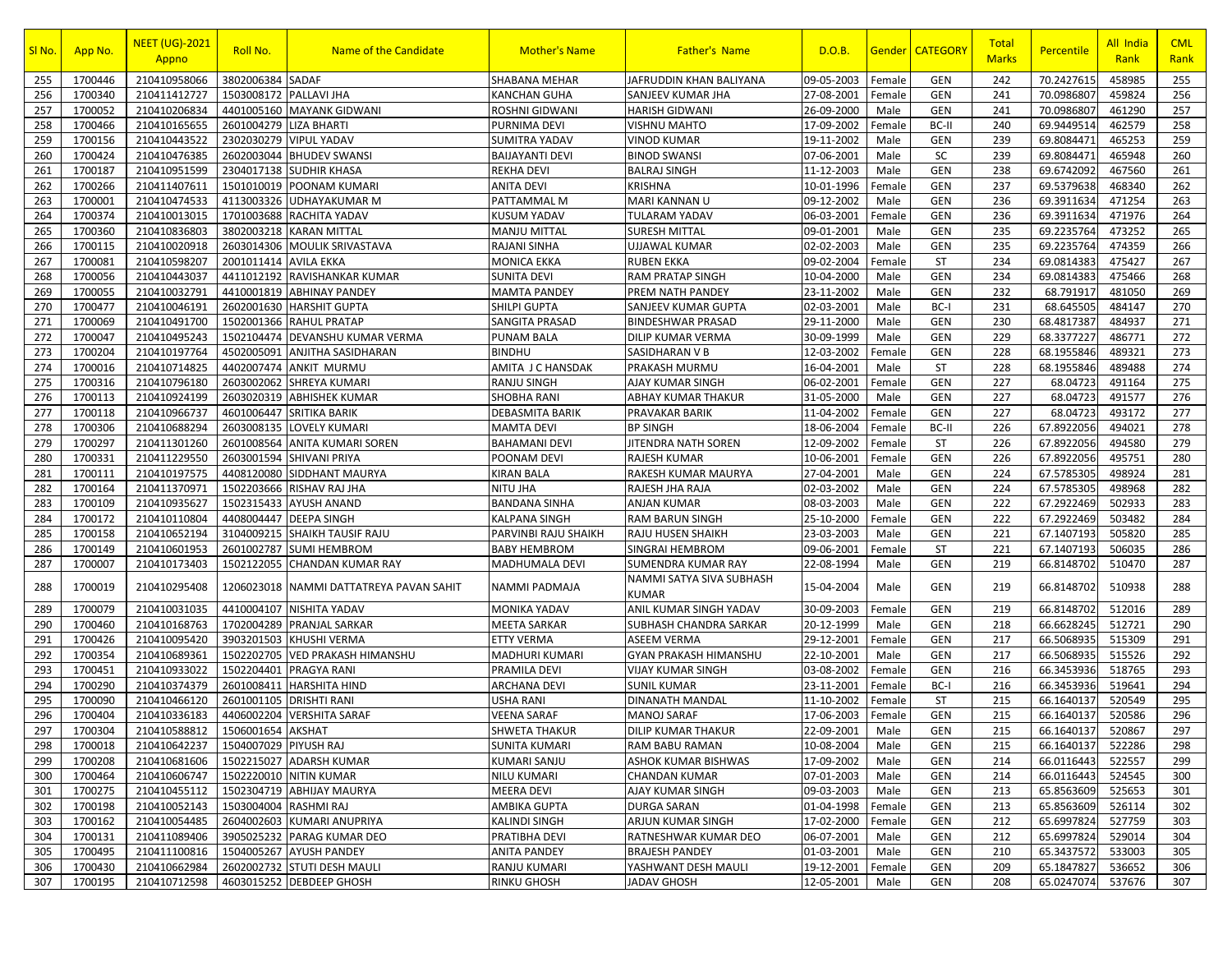| SI No. | App No. | <b>NEET (UG)-2021</b><br>Appno     | Roll No.              | Name of the Candidate        | <b>Mother's Name</b>   | <b>Father's Name</b>              | D.O.B.     | <u>Gender</u> | <b>CATEGORY</b> | Total<br><b>Marks</b> | <b>Percentile</b> | All India<br>Rank | <b>CML</b><br>Rank |
|--------|---------|------------------------------------|-----------------------|------------------------------|------------------------|-----------------------------------|------------|---------------|-----------------|-----------------------|-------------------|-------------------|--------------------|
| 255    | 1700446 | 210410958066                       | 3802006384            | <b>SADAF</b>                 | <b>SHABANA MEHAR</b>   | JAFRUDDIN KHAN BALIYANA           | 09-05-2003 | Female        | GEN             | 242                   | 70.2427615        | 458985            | 255                |
| 256    | 1700340 | 210411412727                       | 1503008172            | <b>PALLAVI JHA</b>           | KANCHAN GUHA           | SANJEEV KUMAR JHA                 | 27-08-2001 | Female        | GEN             | 241                   | 70.0986807        | 459824            | 256                |
| 257    | 1700052 | 210410206834                       | 4401005160            | <b>MAYANK GIDWANI</b>        | <b>ROSHNI GIDWANI</b>  | <b>HARISH GIDWANI</b>             | 26-09-2000 | Male          | <b>GEN</b>      | 241                   | 70.0986807        | 461290            | 257                |
| 258    | 1700466 | 210410165655                       | 2601004279            | <b>LIZA BHARTI</b>           | PURNIMA DEVI           | VISHNU MAHTO                      | 17-09-2002 | Female        | BC-II           | 240                   | 69.9449514        | 462579            | 258                |
| 259    | 1700156 | 210410443522                       | 2302030279            | <b>VIPUL YADAV</b>           | SUMITRA YADAV          | VINOD KUMAR                       | 19-11-2002 | Male          | GEN             | 239                   | 69.8084471        | 465253            | 259                |
| 260    | 1700424 | 210410476385                       | 2602003044            | <b>BHUDEV SWANSI</b>         | <b>BAIJAYANTI DEVI</b> | <b>BINOD SWANSI</b>               | 07-06-2001 | Male          | SC              | 239                   | 69.8084471        | 465948            | 260                |
| 261    | 1700187 | 210410951599                       | 2304017138            | <b>SUDHIR KHASA</b>          | <b>REKHA DEVI</b>      | BALRAJ SINGH                      | 11-12-2003 | Male          | GEN             | 238                   | 69.6742092        | 467560            | 261                |
| 262    | 1700266 | 210411407611                       | 1501010019            | POONAM KUMARI                | <b>ANITA DEVI</b>      | <b>KRISHNA</b>                    | 10-01-1996 | Female        | <b>GEN</b>      | 237                   | 69.5379638        | 468340            | 262                |
| 263    | 1700001 | 210410474533                       | 4113003326            | <b>UDHAYAKUMAR M</b>         | PATTAMMAL M            | MARI KANNAN U                     | 09-12-2002 | Male          | GEN             | 236                   | 69.3911634        | 471254            | 263                |
| 264    | 1700374 | 210410013015                       | 1701003688            | <b>RACHITA YADAV</b>         | <b>KUSUM YADAV</b>     | TULARAM YADAV                     | 06-03-2001 | Female        | <b>GEN</b>      | 236                   | 69.3911634        | 471976            | 264                |
| 265    | 1700360 | 210410836803                       | 3802003218            | <b>KARAN MITTAL</b>          | <b>MANJU MITTAL</b>    | SURESH MITTAL                     | 09-01-2001 | Male          | GEN             | 235                   | 69.2235764        | 473252            | 265                |
| 266    | 1700115 | 210410020918                       | 2603014306            | <b>MOULIK SRIVASTAVA</b>     | RAJANI SINHA           | <b>UJJAWAL KUMAR</b>              | 02-02-2003 | Male          | <b>GEN</b>      | 235                   | 69.2235764        | 474359            | 266                |
| 267    | 1700081 | 210410598207                       | 2001011414            | <b>AVILA EKKA</b>            | <b>MONICA EKKA</b>     | RUBEN EKKA                        | 09-02-2004 | Female        | <b>ST</b>       | 234                   | 69.0814383        | 475427            | 267                |
| 268    | 1700056 | 210410443037                       | 4411012192            | RAVISHANKAR KUMAR            | <b>SUNITA DEVI</b>     | RAM PRATAP SINGH                  | 10-04-2000 | Male          | GEN             | 234                   | 69.0814383        | 475466            | 268                |
| 269    | 1700055 | 210410032791                       | 4410001819            | <b>ABHINAY PANDEY</b>        | <b>MAMTA PANDEY</b>    | PREM NATH PANDEY                  | 23-11-2002 | Male          | GEN             | 232                   | 68.791917         | 481050            | 269                |
| 270    | 1700477 | 210410046191                       | 2602001630            | <b>HARSHIT GUPTA</b>         | SHILPI GUPTA           | SANJEEV KUMAR GUPTA               | 02-03-2001 | Male          | BC-I            | 231                   | 68.645505         | 484147            | 270                |
| 271    | 1700069 | 210410491700                       | 1502001366            | <b>RAHUL PRATAP</b>          | SANGITA PRASAD         | BINDESHWAR PRASAD                 | 29-11-2000 | Male          | GEN             | 230                   | 68.4817387        | 484937            | 271                |
| 272    | 1700047 | 210410495243                       | 1502104474            | <b>DEVANSHU KUMAR VERMA</b>  | PUNAM BALA             | DILIP KUMAR VERMA                 | 30-09-1999 | Male          | GEN             | 229                   | 68.3377227        | 486771            | 272                |
| 273    | 1700204 | 210410197764                       | 4502005091            | <b>ANJITHA SASIDHARAN</b>    | <b>BINDHU</b>          | SASIDHARAN V B                    | 12-03-2002 | Female        | GEN             | 228                   | 68.1955846        | 489321            | 273                |
| 274    | 1700016 | 210410714825                       | 4402007474            | <b>ANKIT MURMU</b>           | AMITA J C HANSDAK      | PRAKASH MURMU                     | 16-04-2001 | Male          | <b>ST</b>       | 228                   | 68.1955846        | 489488            | 274                |
| 275    | 1700316 | 210410796180                       | 2603002062            | <b>SHREYA KUMARI</b>         | RANJU SINGH            | AJAY KUMAR SINGH                  | 06-02-2001 | Female        | GEN             | 227                   | 68.04723          | 491164            | 275                |
| 276    | 1700113 | 210410924199                       | 2603020319            | <b>ABHISHEK KUMAR</b>        | <b>SHOBHA RANI</b>     | ABHAY KUMAR THAKUR                | 31-05-2000 | Male          | GEN             | 227                   | 68.04723          | 491577            | 276                |
| 277    | 1700118 | 210410966737                       | 4601006447            | <b>SRITIKA BARIK</b>         | DEBASMITA BARIK        | PRAVAKAR BARIK                    | 11-04-2002 | Female        | GEN             | 227                   | 68.04723          | 493172            | 277                |
| 278    | 1700306 | 210410688294                       | 2603008135            | <b>LOVELY KUMARI</b>         | <b>MAMTA DEVI</b>      | <b>BP SINGH</b>                   | 18-06-2004 | Female        | BC-II           | 226                   | 67.8922056        | 494021            | 278                |
| 279    | 1700297 | 210411301260                       | 2601008564            | <b>ANITA KUMARI SOREN</b>    | <b>BAHAMANI DEVI</b>   | JITENDRA NATH SOREN               | 12-09-2002 | Female        | <b>ST</b>       | 226                   | 67.8922056        | 494580            | 279                |
| 280    | 1700331 | 210411229550                       | 2603001594            | <b>SHIVANI PRIYA</b>         | POONAM DEVI            | RAJESH KUMAR                      | 10-06-2001 | Female        | GEN             | 226                   | 67.8922056        | 495751            | 280                |
| 281    | 1700111 | 210410197575                       | 4408120080            | SIDDHANT MAURYA              | KIRAN BALA             | RAKESH KUMAR MAURYA               | 27-04-2001 | Male          | GEN             | 224                   | 67.5785305        | 498924            | 281                |
| 282    | 1700164 | 210411370971                       | 1502203666            | RISHAV RAJ JHA               | <b>NITU JHA</b>        | RAJESH JHA RAJA                   | 02-03-2002 | Male          | GEN             | 224                   | 67.5785305        | 498968            | 282                |
| 283    | 1700109 | 210410935627                       | 1502315433            | <b>AYUSH ANAND</b>           | <b>BANDANA SINHA</b>   | ANJAN KUMAR                       | 08-03-2003 | Male          | <b>GEN</b>      | 222                   | 67.2922469        | 502933            | 283                |
| 284    | 1700172 | 210410110804                       | 4408004447            | <b>DEEPA SINGH</b>           | KALPANA SINGH          | RAM BARUN SINGH                   | 25-10-2000 | Female        | GEN             | 222                   | 67.2922469        | 503482            | 284                |
| 285    | 1700158 | 210410652194                       | 3104009215            | <b>SHAIKH TAUSIF RAJU</b>    | PARVINBI RAJU SHAIKH   | RAJU HUSEN SHAIKH                 | 23-03-2003 | Male          | GEN             | 221                   | 67.1407193        | 505820            | 285                |
| 286    | 1700149 | 210410601953                       | 2601002787            | <b>SUMI HEMBROM</b>          | <b>BABY HEMBROM</b>    | SINGRAI HEMBROM                   | 09-06-2001 | Female        | <b>ST</b>       | 221                   | 67.1407193        | 506035            | 286                |
| 287    | 1700007 | 210410173403                       | 1502122055            | <b>CHANDAN KUMAR RAY</b>     | MADHUMALA DEVI         | SUMENDRA KUMAR RAY                | 22-08-1994 | Male          | <b>GEN</b>      | 219                   | 66.8148702        | 510470            | 287                |
| 288    | 1700019 | 210410295408                       | 1206023018            | NAMMI DATTATREYA PAVAN SAHIT | NAMMI PADMAJA          | NAMMI SATYA SIVA SUBHASH<br>KUMAR | 15-04-2004 | Male          | <b>GEN</b>      | 219                   | 66.8148702        | 510938            | 288                |
| 289    | 1700079 | 210410031035                       | 4410004107            | <b>NISHITA YADAV</b>         | MONIKA YADAV           | ANIL KUMAR SINGH YADAV            | 30-09-2003 | Female        | GEN             | 219                   | 66.8148702        | 512016            | 289                |
| 290    | 1700460 | 210410168763                       | 1702004289            | <b>PRANJAL SARKAR</b>        | MEETA SARKAR           | SUBHASH CHANDRA SARKAR            | 20-12-1999 | Male          | <b>GEN</b>      | 218                   | 66.6628245        | 512721            | 290                |
| 291    | 1700426 | 210410095420                       | 3903201503            | <b>KHUSHI VERMA</b>          | <b>ETTY VERMA</b>      | ASEEM VERMA                       | 29-12-2001 | Female        | GEN             | 217                   | 66.5068935        | 515309            | 291                |
| 292    | 1700354 | 210410689361                       | 1502202705            | <b>VED PRAKASH HIMANSHU</b>  | MADHURI KUMARI         | GYAN PRAKASH HIMANSHU             | 22-10-2001 | Male          | <b>GEN</b>      | 217                   | 66.5068935        | 515526            | 292                |
| 293    | 1700451 | 210410933022                       | 1502204401            | PRAGYA RANI                  | PRAMILA DEVI           | VIJAY KUMAR SINGH                 | 03-08-2002 | Female        | GEN             | 216                   | 66.3453936        | 518765            | 293                |
| 294    | 1700290 | 210410374379                       | 2601008411            | <b>HARSHITA HIND</b>         | <b>ARCHANA DEVI</b>    | SUNIL KUMAR                       | 23-11-2001 | Female        | BC-I            | 216                   | 66.3453936        | 519641            | 294                |
| 295    | 1700090 | 210410466120                       | 2601001105            | <b>DRISHTI RANI</b>          | USHA RANI              | DINANATH MANDAL                   | 11-10-2002 | Female        | <b>ST</b>       | 215                   | 66.1640137        | 520549            | 295                |
| 296    | 1700404 | 210410336183                       | 4406002204            | <b>VERSHITA SARAF</b>        | <b>VEENA SARAF</b>     | <b>MANOJ SARAF</b>                | 17-06-2003 | Female        | <b>GEN</b>      | 215                   | 66.1640137        | 520586            | 296                |
| 297    | 1700304 | 210410588812   1506001654   AKSHAT |                       |                              | <b>SHWETA THAKUR</b>   | DILIP KUMAR THAKUR                | 22-09-2001 | Male          | GEN             | 215                   | 66.1640137        | 520867            | 297                |
| 298    | 1700018 | 210410642237                       | 1504007029 PIYUSH RAJ |                              | <b>SUNITA KUMARI</b>   | RAM BABU RAMAN                    | 10-08-2004 | Male          | GEN             | 215                   | 66.1640137        | 522286            | 298                |
| 299    | 1700208 | 210410681606                       |                       | 1502215027 ADARSH KUMAR      | <b>KUMARI SANJU</b>    | ASHOK KUMAR BISHWAS               | 17-09-2002 | Male          | GEN             | 214                   | 66.0116443        | 522557            | 299                |
| 300    | 1700464 | 210410606747                       |                       | 1502220010 NITIN KUMAR       | <b>NILU KUMARI</b>     | CHANDAN KUMAR                     | 07-01-2003 | Male          | GEN             | 214                   | 66.0116443        | 524545            | 300                |
| 301    | 1700275 | 210410455112                       |                       | 1502304719 ABHIJAY MAURYA    | <b>MEERA DEVI</b>      | AJAY KUMAR SINGH                  | 09-03-2003 | Male          | GEN             | 213                   | 65.8563609        | 525653            | 301                |
| 302    | 1700198 | 210410052143                       | 1503004004            | RASHMI RAJ                   | AMBIKA GUPTA           | DURGA SARAN                       | 01-04-1998 | Female        | GEN             | 213                   | 65.8563609        | 526114            | 302                |
| 303    | 1700162 | 210410054485                       |                       | 2604002603 KUMARI ANUPRIYA   | <b>KALINDI SINGH</b>   | ARJUN KUMAR SINGH                 | 17-02-2000 | Female        | <b>GEN</b>      | 212                   | 65.6997824        | 527759            | 303                |
| 304    | 1700131 | 210411089406                       |                       | 3905025232 PARAG KUMAR DEO   | PRATIBHA DEVI          | RATNESHWAR KUMAR DEO              | 06-07-2001 | Male          | <b>GEN</b>      | 212                   | 65.6997824        | 529014            | 304                |
| 305    | 1700495 | 210411100816                       |                       | 1504005267 AYUSH PANDEY      | <b>ANITA PANDEY</b>    | <b>BRAJESH PANDEY</b>             | 01-03-2001 | Male          | <b>GEN</b>      | 210                   | 65.3437572        | 533003            | 305                |
| 306    | 1700430 | 210410662984                       |                       | 2602002732 STUTI DESH MAULI  | RANJU KUMARI           | YASHWANT DESH MAULI               | 19-12-2001 | Female        | GEN             | 209                   | 65.1847827        | 536652            | 306                |
| 307    | 1700195 | 210410712598                       |                       | 4603015252 DEBDEEP GHOSH     | <b>RINKU GHOSH</b>     | JADAV GHOSH                       | 12-05-2001 | Male          | GEN             | 208                   | 65.0247074        | 537676            | 307                |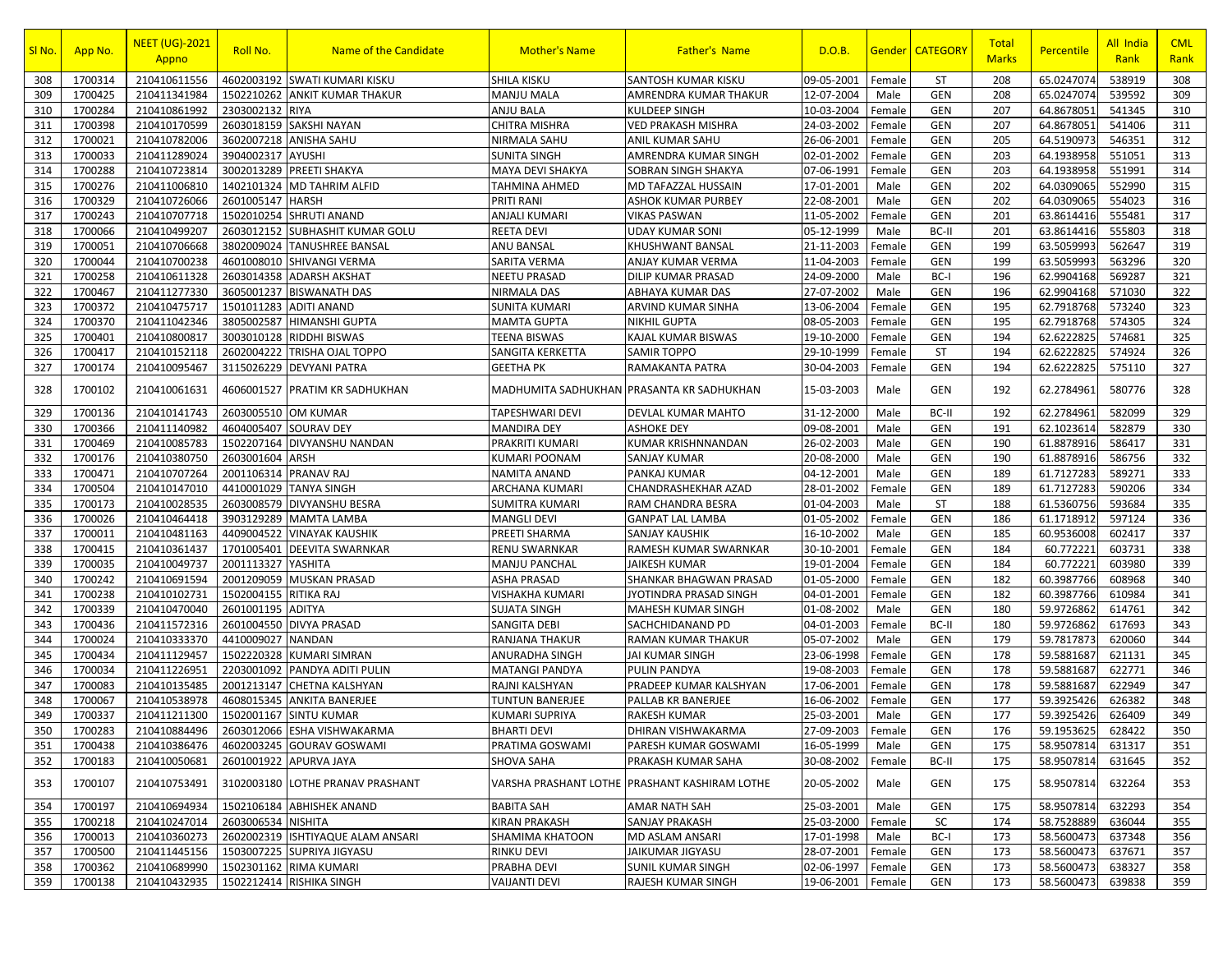| SI <sub>No.</sub> | App No. | <b>NEET (UG)-2021</b><br>Appno | Roll No.           | <b>Name of the Candidate</b>      | <b>Mother's Name</b>   | <b>Father's Name</b>                          | D.O.B.            |        | <b>Gender   CATEGORY</b> | Total<br><b>Marks</b> | Percentile | All India<br>Rank | <b>CML</b><br>Rank |
|-------------------|---------|--------------------------------|--------------------|-----------------------------------|------------------------|-----------------------------------------------|-------------------|--------|--------------------------|-----------------------|------------|-------------------|--------------------|
| 308               | 1700314 | 210410611556                   | 4602003192         | <b>SWATI KUMARI KISKU</b>         | SHILA KISKU            | <b>SANTOSH KUMAR KISKU</b>                    | 09-05-2001        | Female | ST                       | 208                   | 65.0247074 | 538919            | 308                |
| 309               | 1700425 | 210411341984                   | 1502210262         | <b>ANKIT KUMAR THAKUR</b>         | <b>MANJU MALA</b>      | AMRENDRA KUMAR THAKUR                         | 12-07-2004        | Male   | <b>GEN</b>               | 208                   | 65.0247074 | 539592            | 309                |
| 310               | 1700284 | 210410861992                   | 2303002132         | <b>RIYA</b>                       | <b>ANJU BALA</b>       | KULDEEP SINGH                                 | 10-03-2004        | Female | <b>GEN</b>               | 207                   | 64.8678051 | 541345            | 310                |
| 311               | 1700398 | 210410170599                   | 2603018159         | <b>SAKSHI NAYAN</b>               | CHITRA MISHRA          | VED PRAKASH MISHRA                            | 24-03-2002        | Female | GEN                      | 207                   | 64.8678051 | 541406            | 311                |
| 312               | 1700021 | 210410782006                   | 3602007218         | <b>ANISHA SAHU</b>                | NIRMALA SAHU           | ANIL KUMAR SAHU                               | 26-06-2001        | Female | <b>GEN</b>               | 205                   | 64.5190973 | 546351            | 312                |
| 313               | 1700033 | 210411289024                   | 3904002317         | <b>AYUSHI</b>                     | <b>SUNITA SINGH</b>    | AMRENDRA KUMAR SINGH                          | 02-01-2002        | Female | <b>GEN</b>               | 203                   | 64.1938958 | 551051            | 313                |
| 314               | 1700288 | 210410723814                   | 3002013289         | PREETI SHAKYA                     | MAYA DEVI SHAKYA       | SOBRAN SINGH SHAKYA                           | 07-06-1991        | Female | <b>GEN</b>               | 203                   | 64.1938958 | 551991            | 314                |
| 315               | 1700276 | 210411006810                   | 1402101324         | <b>MD TAHRIM ALFID</b>            | TAHMINA AHMED          | MD TAFAZZAL HUSSAIN                           | 17-01-2001        | Male   | <b>GEN</b>               | 202                   | 64.0309065 | 552990            | 315                |
| 316               | 1700329 | 210410726066                   | 2601005147         | <b>HARSH</b>                      | PRITI RANI             | ASHOK KUMAR PURBEY                            | 22-08-2001        | Male   | <b>GEN</b>               | 202                   | 64.0309065 | 554023            | 316                |
| 317               | 1700243 | 210410707718                   | 1502010254         | <b>SHRUTI ANAND</b>               | <b>ANJALI KUMARI</b>   | <b>VIKAS PASWAN</b>                           | 11-05-2002        | Female | <b>GEN</b>               | 201                   | 63.8614416 | 555481            | 317                |
| 318               | 1700066 | 210410499207                   | 2603012152         | SUBHASHIT KUMAR GOLU              | <b>REETA DEVI</b>      | <b>UDAY KUMAR SONI</b>                        | 05-12-1999        | Male   | BC-II                    | 201                   | 63.8614416 | 555803            | 318                |
| 319               | 1700051 | 210410706668                   | 3802009024         | <b>TANUSHREE BANSAL</b>           | ANU BANSAL             | KHUSHWANT BANSAL                              | 21-11-2003        | Female | <b>GEN</b>               | 199                   | 63.5059993 | 562647            | 319                |
| 320               | 1700044 | 210410700238                   | 4601008010         | SHIVANGI VERMA                    | SARITA VERMA           | ANJAY KUMAR VERMA                             | 11-04-2003        | Female | <b>GEN</b>               | 199                   | 63.5059993 | 563296            | 320                |
| 321               | 1700258 | 210410611328                   | 2603014358         | <b>ADARSH AKSHAT</b>              | <b>NEETU PRASAD</b>    | DILIP KUMAR PRASAD                            | 24-09-2000        | Male   | BC-I                     | 196                   | 62.9904168 | 569287            | 321                |
| 322               | 1700467 | 210411277330                   | 3605001237         | <b>BISWANATH DAS</b>              | <b>NIRMALA DAS</b>     | ABHAYA KUMAR DAS                              | 27-07-2002        | Male   | <b>GEN</b>               | 196                   | 62.9904168 | 571030            | 322                |
| 323               | 1700372 | 210410475717                   | 1501011283         | <b>ADITI ANAND</b>                | <b>SUNITA KUMARI</b>   | ARVIND KUMAR SINHA                            | 13-06-2004        | Female | <b>GEN</b>               | 195                   | 62.7918768 | 573240            | 323                |
| 324               | 1700370 | 210411042346                   | 3805002587         | <b>HIMANSHI GUPTA</b>             | <b>MAMTA GUPTA</b>     | NIKHIL GUPTA                                  | 08-05-2003        | Female | <b>GEN</b>               | 195                   | 62.7918768 | 574305            | 324                |
| 325               | 1700401 | 210410800817                   | 3003010128         | <b>RIDDHI BISWAS</b>              | TEENA BISWAS           | KAJAL KUMAR BISWAS                            | 19-10-2000        | Female | <b>GEN</b>               | 194                   | 62.6222825 | 574681            | 325                |
| 326               | 1700417 | 210410152118                   | 2602004222         | <b>TRISHA OJAL TOPPO</b>          | SANGITA KERKETTA       | <b>SAMIR TOPPO</b>                            | 29-10-1999        | Female | ST                       | 194                   | 62.6222825 | 574924            | 326                |
| 327               | 1700174 | 210410095467                   | 3115026229         | <b>DEVYANI PATRA</b>              | <b>GEETHA PK</b>       | RAMAKANTA PATRA                               | 30-04-2003        | Female | <b>GEN</b>               | 194                   | 62.6222825 | 575110            | 327                |
| 328               | 1700102 | 210410061631                   | 4606001527         | PRATIM KR SADHUKHAN               |                        | MADHUMITA SADHUKHAN PRASANTA KR SADHUKHAN     | 15-03-2003        | Male   | <b>GEN</b>               | 192                   | 62.2784961 | 580776            | 328                |
| 329               | 1700136 | 210410141743                   | 2603005510         | <b>OM KUMAR</b>                   | TAPESHWARI DEVI        | DEVLAL KUMAR MAHTO                            | 31-12-2000        | Male   | BC-II                    | 192                   | 62.2784961 | 582099            | 329                |
| 330               | 1700366 | 210411140982                   | 4604005407         | <b>SOURAV DEY</b>                 | <b>MANDIRA DEY</b>     | <b>ASHOKE DEY</b>                             | 09-08-2001        | Male   | GEN                      | 191                   | 62.1023614 | 582879            | 330                |
| 331               | 1700469 | 210410085783                   | 1502207164         | DIVYANSHU NANDAN                  | PRAKRITI KUMARI        | KUMAR KRISHNNANDAN                            | 26-02-2003        | Male   | <b>GEN</b>               | 190                   | 61.8878916 | 586417            | 331                |
| 332               | 1700176 | 210410380750                   | 2603001604         | ARSH                              | KUMARI POONAM          | SANJAY KUMAR                                  | 20-08-2000        | Male   | <b>GEN</b>               | 190                   | 61.8878916 | 586756            | 332                |
| 333               | 1700471 | 210410707264                   | 2001106314         | PRANAV RAJ                        | NAMITA ANAND           | <b>PANKAJ KUMAR</b>                           | 04-12-2001        | Male   | GEN                      | 189                   | 61.7127283 | 589271            | 333                |
| 334               | 1700504 | 210410147010                   | 4410001029         | <b>TANYA SINGH</b>                | ARCHANA KUMARI         | CHANDRASHEKHAR AZAD                           | 28-01-2002        | Female | <b>GEN</b>               | 189                   | 61.7127283 | 590206            | 334                |
| 335               | 1700173 | 210410028535                   | 2603008579         | <b>DIVYANSHU BESRA</b>            | <b>SUMITRA KUMARI</b>  | RAM CHANDRA BESRA                             | 01-04-2003        | Male   | <b>ST</b>                | 188                   | 61.5360756 | 593684            | 335                |
| 336               | 1700026 | 210410464418                   | 3903129289         | <b>MAMTA LAMBA</b>                | <b>MANGLI DEVI</b>     | <b>GANPAT LAL LAMBA</b>                       | 01-05-2002        | Female | <b>GEN</b>               | 186                   | 61.1718912 | 597124            | 336                |
| 337               | 1700011 | 210410481163                   | 4409004522         | <b>VINAYAK KAUSHIK</b>            | PREETI SHARMA          | <b>SANJAY KAUSHIK</b>                         | 16-10-2002        | Male   | <b>GEN</b>               | 185                   | 60.9536008 | 602417            | 337                |
| 338               | 1700415 | 210410361437                   | 1701005401         | <b>DEEVITA SWARNKAR</b>           | RENU SWARNKAR          | RAMESH KUMAR SWARNKAR                         | 30-10-2001        | Female | GEN                      | 184                   | 60.772221  | 603731            | 338                |
| 339               | 1700035 | 210410049737                   | 2001113327         | YASHITA                           | <b>MANJU PANCHAL</b>   | JAIKESH KUMAR                                 | 19-01-2004        | Female | <b>GEN</b>               | 184                   | 60.772221  | 603980            | 339                |
| 340               | 1700242 | 210410691594                   | 2001209059         | <b>MUSKAN PRASAD</b>              | ASHA PRASAD            | SHANKAR BHAGWAN PRASAD                        | 01-05-2000        | Female | <b>GEN</b>               | 182                   | 60.3987766 | 608968            | 340                |
| 341               | 1700238 | 210410102731                   | 1502004155         | <b>RITIKA RAJ</b>                 | VISHAKHA KUMARI        | JYOTINDRA PRASAD SINGH                        | 04-01-2001        | Female | <b>GEN</b>               | 182                   | 60.3987766 | 610984            | 341                |
| 342               | 1700339 | 210410470040                   | 2601001195         | <b>ADITYA</b>                     | <b>SUJATA SINGH</b>    | MAHESH KUMAR SINGH                            | 01-08-2002        | Male   | <b>GEN</b>               | 180                   | 59.9726862 | 614761            | 342                |
| 343               | 1700436 | 210411572316                   | 2601004550         | <b>DIVYA PRASAD</b>               | SANGITA DEBI           | SACHCHIDANAND PD                              | 04-01-2003        | Female | BC-II                    | 180                   | 59.9726862 | 617693            | 343                |
| 344               | 1700024 | 210410333370                   | 4410009027         | <b>NANDAN</b>                     | RANJANA THAKUR         | RAMAN KUMAR THAKUR                            | 05-07-2002        | Male   | <b>GEN</b>               | 179                   | 59.7817873 | 620060            | 344                |
| 345               | 1700434 | 210411129457                   | 1502220328         | <b>KUMARI SIMRAN</b>              | ANURADHA SINGH         | JAI KUMAR SINGH                               | 23-06-1998        | Female | <b>GEN</b>               | 178                   | 59.5881687 | 621131            | 345                |
| 346               | 1700034 | 210411226951                   | 2203001092         | PANDYA ADITI PULIN                | <b>MATANGI PANDYA</b>  | PULIN PANDYA                                  | 19-08-2003        | Female | <b>GEN</b>               | 178                   | 59.5881687 | 622771            | 346                |
| 347               | 1700083 | 210410135485                   | 2001213147         | CHETNA KALSHYAN                   | RAJNI KALSHYAN         | PRADEEP KUMAR KALSHYAN                        | 17-06-2001        | Female | <b>GEN</b>               | 178                   | 59.5881687 | 622949            | 347                |
| 348               | 1700067 | 210410538978                   | 4608015345         | <b>ANKITA BANERJEE</b>            | <b>TUNTUN BANERJEE</b> | PALLAB KR BANERJEE                            | 16-06-2002        | Female | <b>GEN</b>               | 177                   | 59.3925426 | 626382            | 348                |
| 349               | 1700337 | 210411211300                   | 1502001167         | <b>SINTU KUMAR</b>                | KUMARI SUPRIYA         | <b>RAKESH KUMAR</b>                           | 25-03-2001        | Male   | <b>GEN</b>               | 177                   | 59.3925426 | 626409            | 349                |
| 350               | 1700283 | 210410884496                   |                    | 2603012066 ESHA VISHWAKARMA       | <b>BHARTI DEVI</b>     | DHIRAN VISHWAKARMA                            | 27-09-2003 Female |        | GEN                      | 176                   | 59.1953625 | 628422            | 350                |
| 351               | 1700438 | 210410386476                   |                    | 4602003245 GOURAV GOSWAMI         | PRATIMA GOSWAMI        | PARESH KUMAR GOSWAMI                          | 16-05-1999        | Male   | GEN                      | 175                   | 58.9507814 | 631317            | 351                |
| 352               | 1700183 | 210410050681                   | 2601001922         | <b>APURVA JAYA</b>                | SHOVA SAHA             | PRAKASH KUMAR SAHA                            | 30-08-2002        | Female | BC-II                    | 175                   | 58.9507814 | 631645            | 352                |
| 353               | 1700107 | 210410753491                   | 3102003180         | LOTHE PRANAV PRASHANT             |                        | VARSHA PRASHANT LOTHE PRASHANT KASHIRAM LOTHE | 20-05-2002        | Male   | <b>GEN</b>               | 175                   | 58.9507814 | 632264            | 353                |
| 354               | 1700197 | 210410694934                   | 1502106184         | <b>ABHISHEK ANAND</b>             | <b>BABITA SAH</b>      | AMAR NATH SAH                                 | 25-03-2001        | Male   | <b>GEN</b>               | 175                   | 58.9507814 | 632293            | 354                |
| 355               | 1700218 | 210410247014                   | 2603006534 NISHITA |                                   | KIRAN PRAKASH          | SANJAY PRAKASH                                | 25-03-2000        | Female | SC                       | 174                   | 58.7528889 | 636044            | 355                |
| 356               | 1700013 | 210410360273                   |                    | 2602002319 ISHTIYAQUE ALAM ANSARI | SHAMIMA KHATOON        | MD ASLAM ANSARI                               | 17-01-1998        | Male   | BC-I                     | 173                   | 58.5600473 | 637348            | 356                |
| 357               | 1700500 | 210411445156                   |                    | 1503007225 SUPRIYA JIGYASU        | RINKU DEVI             | JAIKUMAR JIGYASU                              | 28-07-2001        | Female | <b>GEN</b>               | 173                   | 58.5600473 | 637671            | 357                |
| 358               | 1700362 | 210410689990                   |                    | 1502301162 RIMA KUMARI            | PRABHA DEVI            | <b>SUNIL KUMAR SINGH</b>                      | 02-06-1997        | Female | GEN                      | 173                   | 58.5600473 | 638327            | 358                |
| 359               | 1700138 | 210410432935                   |                    | 1502212414 RISHIKA SINGH          | <b>VAIJANTI DEVI</b>   | RAJESH KUMAR SINGH                            | 19-06-2001        | Female | <b>GEN</b>               | 173                   | 58.5600473 | 639838            | 359                |